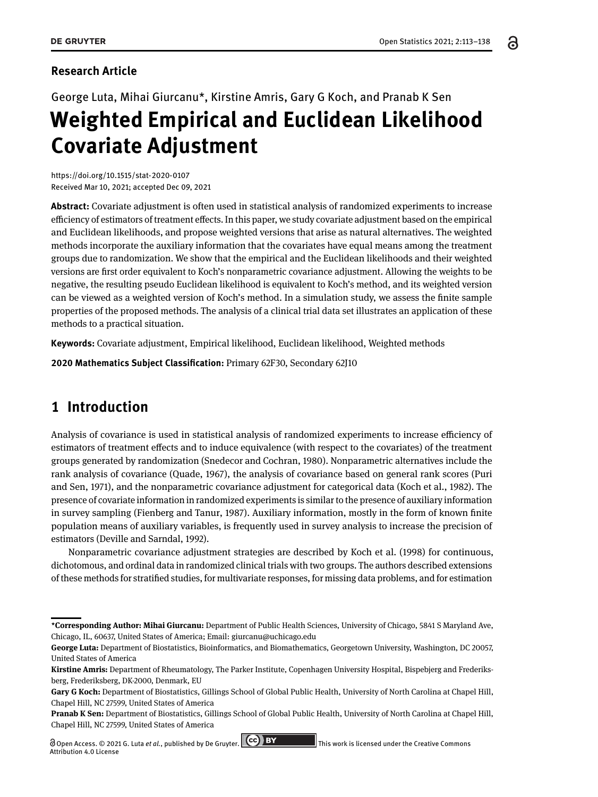ခ

# **Research Article**

# George Luta, Mihai Giurcanu\*, Kirstine Amris, Gary G Koch, and Pranab K Sen **Weighted Empirical and Euclidean Likelihood Covariate Adjustment**

<https://doi.org/10.1515/stat-2020-0107> Received Mar 10, 2021; accepted Dec 09, 2021

**Abstract:** Covariate adjustment is often used in statistical analysis of randomized experiments to increase efficiency of estimators of treatment effects. In this paper, we study covariate adjustment based on the empirical and Euclidean likelihoods, and propose weighted versions that arise as natural alternatives. The weighted methods incorporate the auxiliary information that the covariates have equal means among the treatment groups due to randomization. We show that the empirical and the Euclidean likelihoods and their weighted versions are first order equivalent to Koch's nonparametric covariance adjustment. Allowing the weights to be negative, the resulting pseudo Euclidean likelihood is equivalent to Koch's method, and its weighted version can be viewed as a weighted version of Koch's method. In a simulation study, we assess the finite sample properties of the proposed methods. The analysis of a clinical trial data set illustrates an application of these methods to a practical situation.

**Keywords:** Covariate adjustment, Empirical likelihood, Euclidean likelihood, Weighted methods

**2020 Mathematics Subject Classification:** Primary 62F30, Secondary 62J10

# **1 Introduction**

Analysis of covariance is used in statistical analysis of randomized experiments to increase efficiency of estimators of treatment effects and to induce equivalence (with respect to the covariates) of the treatment groups generated by randomization [\(Snedecor and Cochran, 1980\)](#page-18-0). Nonparametric alternatives include the rank analysis of covariance [\(Quade, 1967\)](#page-17-0), the analysis of covariance based on general rank scores [\(Puri](#page-17-1) [and Sen, 1971\)](#page-17-1), and the nonparametric covariance adjustment for categorical data [\(Koch et al., 1982\)](#page-17-2). The presence of covariate information in randomized experiments is similar to the presence of auxiliary information in survey sampling [\(Fienberg and Tanur, 1987\)](#page-17-3). Auxiliary information, mostly in the form of known finite population means of auxiliary variables, is frequently used in survey analysis to increase the precision of estimators [\(Deville and Sarndal, 1992\)](#page-16-0).

Nonparametric covariance adjustment strategies are described by [Koch et al.](#page-17-4) [\(1998\)](#page-17-4) for continuous, dichotomous, and ordinal data in randomized clinical trials with two groups. The authors described extensions of these methods for stratified studies, for multivariate responses, for missing data problems, and for estimation

**<sup>\*</sup>Corresponding Author: Mihai Giurcanu:** Department of Public Health Sciences, University of Chicago, 5841 S Maryland Ave, Chicago, IL, 60637, United States of America; Email: giurcanu@uchicago.edu

**George Luta:** Department of Biostatistics, Bioinformatics, and Biomathematics, Georgetown University, Washington, DC 20057, United States of America

**Kirstine Amris:** Department of Rheumatology, The Parker Institute, Copenhagen University Hospital, Bispebjerg and Frederiksberg, Frederiksberg, DK-2000, Denmark, EU

**Gary G Koch:** Department of Biostatistics, Gillings School of Global Public Health, University of North Carolina at Chapel Hill, Chapel Hill, NC 27599, United States of America

**Pranab K Sen:** Department of Biostatistics, Gillings School of Global Public Health, University of North Carolina at Chapel Hill, Chapel Hill, NC 27599, United States of America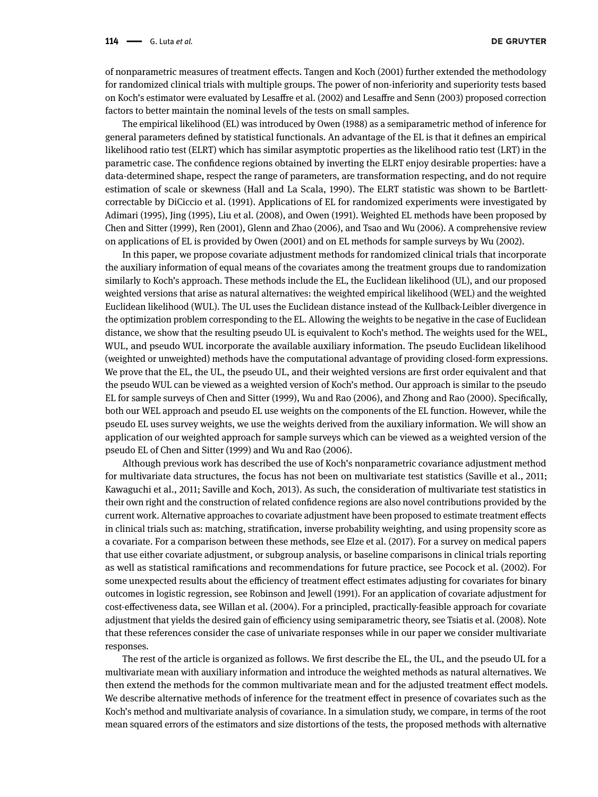of nonparametric measures of treatment effects. [Tangen and Koch](#page-18-1) [\(2001\)](#page-18-1) further extended the methodology for randomized clinical trials with multiple groups. The power of non-inferiority and superiority tests based on Koch's estimator were evaluated by [Lesaffre et al.](#page-17-5) [\(2002\)](#page-17-5) and [Lesaffre and Senn](#page-17-6) [\(2003\)](#page-17-6) proposed correction factors to better maintain the nominal levels of the tests on small samples.

The empirical likelihood (EL) was introduced by [Owen](#page-17-7) [\(1988\)](#page-17-7) as a semiparametric method of inference for general parameters defined by statistical functionals. An advantage of the EL is that it defines an empirical likelihood ratio test (ELRT) which has similar asymptotic properties as the likelihood ratio test (LRT) in the parametric case. The confidence regions obtained by inverting the ELRT enjoy desirable properties: have a data-determined shape, respect the range of parameters, are transformation respecting, and do not require estimation of scale or skewness [\(Hall and La Scala, 1990\)](#page-17-8). The ELRT statistic was shown to be Bartlettcorrectable by [DiCiccio et al.](#page-17-9) [\(1991\)](#page-17-9). Applications of EL for randomized experiments were investigated by [Adimari](#page-16-1) [\(1995\)](#page-16-1), [Jing](#page-17-10) [\(1995\)](#page-17-10), [Liu et al.](#page-17-11) [\(2008\)](#page-17-11), and [Owen](#page-17-12) [\(1991\)](#page-17-12). Weighted EL methods have been proposed by [Chen and Sitter](#page-16-2) [\(1999\)](#page-16-2), [Ren](#page-17-13) [\(2001\)](#page-17-13), [Glenn and Zhao](#page-17-14) [\(2006\)](#page-17-14), and [Tsao and Wu](#page-18-2) [\(2006\)](#page-18-2). A comprehensive review on applications of EL is provided by [Owen](#page-17-15) [\(2001\)](#page-17-15) and on EL methods for sample surveys by [Wu](#page-18-3) [\(2002\)](#page-18-3).

In this paper, we propose covariate adjustment methods for randomized clinical trials that incorporate the auxiliary information of equal means of the covariates among the treatment groups due to randomization similarly to Koch's approach. These methods include the EL, the Euclidean likelihood (UL), and our proposed weighted versions that arise as natural alternatives: the weighted empirical likelihood (WEL) and the weighted Euclidean likelihood (WUL). The UL uses the Euclidean distance instead of the Kullback-Leibler divergence in the optimization problem corresponding to the EL. Allowing the weights to be negative in the case of Euclidean distance, we show that the resulting pseudo UL is equivalent to Koch's method. The weights used for the WEL, WUL, and pseudo WUL incorporate the available auxiliary information. The pseudo Euclidean likelihood (weighted or unweighted) methods have the computational advantage of providing closed-form expressions. We prove that the EL, the UL, the pseudo UL, and their weighted versions are first order equivalent and that the pseudo WUL can be viewed as a weighted version of Koch's method. Our approach is similar to the pseudo EL for sample surveys of [Chen and Sitter](#page-16-2) [\(1999\)](#page-16-2), [Wu and Rao](#page-18-4) [\(2006\)](#page-18-4), and [Zhong and Rao](#page-18-5) [\(2000\)](#page-18-5). Specifically, both our WEL approach and pseudo EL use weights on the components of the EL function. However, while the pseudo EL uses survey weights, we use the weights derived from the auxiliary information. We will show an application of our weighted approach for sample surveys which can be viewed as a weighted version of the pseudo EL of [Chen and Sitter](#page-16-2) [\(1999\)](#page-16-2) and [Wu and Rao](#page-18-4) [\(2006\)](#page-18-4).

Although previous work has described the use of Koch's nonparametric covariance adjustment method for multivariate data structures, the focus has not been on multivariate test statistics [\(Saville et al., 2011;](#page-17-16) [Kawaguchi et al., 2011;](#page-17-17) [Saville and Koch, 2013\)](#page-17-18). As such, the consideration of multivariate test statistics in their own right and the construction of related confidence regions are also novel contributions provided by the current work. Alternative approaches to covariate adjustment have been proposed to estimate treatment effects in clinical trials such as: matching, stratification, inverse probability weighting, and using propensity score as a covariate. For a comparison between these methods, see [Elze et al.](#page-17-19) [\(2017\)](#page-17-19). For a survey on medical papers that use either covariate adjustment, or subgroup analysis, or baseline comparisons in clinical trials reporting as well as statistical ramifications and recommendations for future practice, see [Pocock et al.](#page-17-20) [\(2002\)](#page-17-20). For some unexpected results about the efficiency of treatment effect estimates adjusting for covariates for binary outcomes in logistic regression, see [Robinson and Jewell](#page-17-21) [\(1991\)](#page-17-21). For an application of covariate adjustment for cost-effectiveness data, see [Willan et al.](#page-18-6) [\(2004\)](#page-18-6). For a principled, practically-feasible approach for covariate adjustment that yields the desired gain of efficiency using semiparametric theory, see [Tsiatis et al.](#page-18-7) [\(2008\)](#page-18-7). Note that these references consider the case of univariate responses while in our paper we consider multivariate responses.

The rest of the article is organized as follows. We first describe the EL, the UL, and the pseudo UL for a multivariate mean with auxiliary information and introduce the weighted methods as natural alternatives. We then extend the methods for the common multivariate mean and for the adjusted treatment effect models. We describe alternative methods of inference for the treatment effect in presence of covariates such as the Koch's method and multivariate analysis of covariance. In a simulation study, we compare, in terms of the root mean squared errors of the estimators and size distortions of the tests, the proposed methods with alternative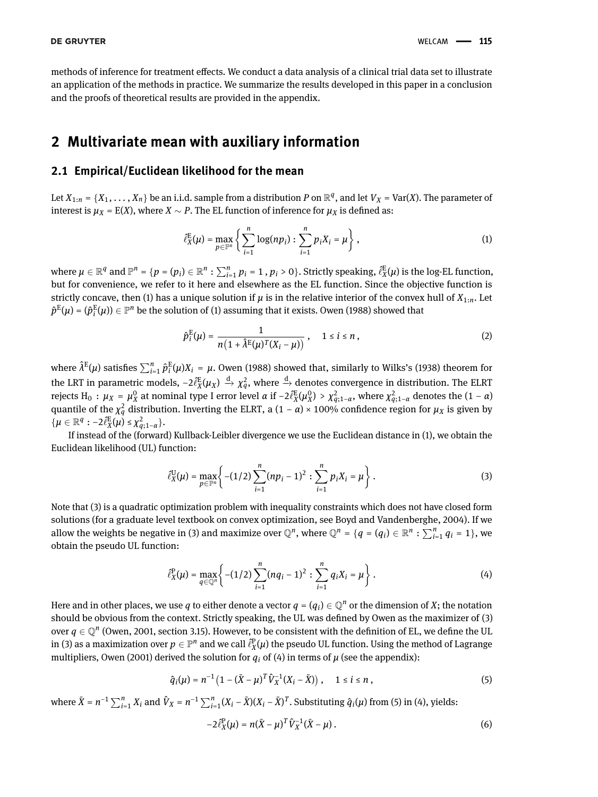methods of inference for treatment effects. We conduct a data analysis of a clinical trial data set to illustrate an application of the methods in practice. We summarize the results developed in this paper in a conclusion and the proofs of theoretical results are provided in the appendix.

# **2 Multivariate mean with auxiliary information**

## **2.1 Empirical/Euclidean likelihood for the mean**

Let  $X_{1:n} = \{X_1, \ldots, X_n\}$  be an i.i.d. sample from a distribution P on  $\mathbb{R}^q$ , and let  $V_X = \text{Var}(X)$ . The parameter of interest is *µ<sup>X</sup>* = E(*X*), where *X* ∼ *P*. The EL function of inference for *µ<sup>X</sup>* is defined as:

<span id="page-2-0"></span>
$$
\hat{\ell}_X^{\mathrm{E}}(\mu) = \max_{p \in \mathbb{P}^n} \left\{ \sum_{i=1}^n \log(np_i) : \sum_{i=1}^n p_i X_i = \mu \right\},\tag{1}
$$

where  $\mu\in\mathbb{R}^q$  and  $\mathbb{P}^n$  =  $\{p=(p_i)\in\mathbb{R}^n:\sum_{i=1}^np_i=1$  ,  $p_i>0\}.$  Strictly speaking,  $\hat{\ell}_X^{\rm E}(\mu)$  is the log-EL function, but for convenience, we refer to it here and elsewhere as the EL function. Since the objective function is strictly concave, then [\(1\)](#page-2-0) has a unique solution if  $\mu$  is in the relative interior of the convex hull of  $X_{1:n}$ . Let  $\hat{p}^{\text{E}}(\mu) = (\hat{p}^{\text{E}}_i)$  $\mathbf{f}_i^{\mathrm{E}}(\mu))\in\mathbb{P}^n$  be the solution of [\(1\)](#page-2-0) assuming that it exists. [Owen](#page-17-7) [\(1988\)](#page-17-7) showed that

<span id="page-2-4"></span>
$$
\hat{p}_i^{\mathrm{E}}(\mu) = \frac{1}{n\left(1 + \hat{\lambda}^{\mathrm{E}}(\mu)^T (X_i - \mu)\right)}, \quad 1 \le i \le n,
$$
\n(2)

where  $\hat{\lambda}^{\text{E}}(\mu)$  satisfies  $\sum_{i=1}^{n}\hat{p}^{\text{E}}_{i}$  $\frac{E}{i}(\mu)X_i = \mu$ . [Owen](#page-17-7) [\(1988\)](#page-17-7) showed that, similarly to [Wilks's](#page-18-8) [\(1938\)](#page-18-8) theorem for the LRT in parametric models,  $-2\ell_X^E(\mu_X)\stackrel{d}{\to}\chi_q^2$ , where  $\stackrel{d}{\to}$  denotes convergence in distribution. The ELRT rejects  $H_0$  :  $\mu_X$  =  $\mu_X^0$  $\alpha$ <sup>2</sup> at nominal type I error level *α* if −2 $\hat{\ell}_X^{\text{E}}(\mu_X^0)$  $\chi$ <sup>2</sup><sub>*a*</sub>, *γ*<sup>2</sup><sub>*a*</sub>, *γ*<sup>2</sup><sub>*a*</sub><sub>*x*<sub>11−*α*</sub> denotes the (1 − *α*)</sub> quantile of the  $\chi_q^2$  distribution. Inverting the ELRT, a  $(1 - \alpha) \times 100\%$  confidence region for  $\mu_X$  is given by  $\{\mu \in \mathbb{R}^q : -2\hat{\ell}_X^E(\mu) \leq \chi^2_{q;1-\alpha}\}.$ 

If instead of the (forward) Kullback-Leibler divergence we use the Euclidean distance in [\(1\)](#page-2-0), we obtain the Euclidean likelihood (UL) function:

<span id="page-2-1"></span>
$$
\hat{\ell}_{X}^{\mathrm{U}}(\mu) = \max_{p \in \mathbb{P}^n} \left\{ -(1/2) \sum_{i=1}^n (np_i - 1)^2 : \sum_{i=1}^n p_i X_i = \mu \right\}.
$$
 (3)

Note that [\(3\)](#page-2-1) is a quadratic optimization problem with inequality constraints which does not have closed form solutions (for a graduate level textbook on convex optimization, see [Boyd and Vandenberghe, 2004\)](#page-16-3). If we allow the weights be negative in [\(3\)](#page-2-1) and maximize over  $\mathbb{Q}^n$ , where  $\mathbb{Q}^n = \{q = (q_i) \in \mathbb{R}^n : \sum_{i=1}^n q_i = 1\}$ , we obtain the pseudo UL function:

<span id="page-2-2"></span>
$$
\hat{\ell}_{X}^{\mathbf{P}}(\mu) = \max_{q \in \mathbb{Q}^n} \left\{ -(1/2) \sum_{i=1}^n (n q_i - 1)^2 : \sum_{i=1}^n q_i X_i = \mu \right\}.
$$
 (4)

Here and in other places, we use  $q$  to either denote a vector  $q=(q_i)\in\mathbb{Q}^n$  or the dimension of  $X$ ; the notation should be obvious from the context. Strictly speaking, the UL was defined by [Owen](#page-17-15) as the maximizer of [\(3\)](#page-2-1) over  $q \in \mathbb{Q}^n$  [\(Owen, 2001,](#page-17-15) section 3.15). However, to be consistent with the definition of EL, we define the UL in [\(3\)](#page-2-1) as a maximization over  $p\in\mathbb{P}^n$  and we call  $\hat{\ell}_X^{\rm p}(\mu)$  the pseudo UL function. Using the method of Lagrange multipliers, [Owen](#page-17-15) [\(2001\)](#page-17-15) derived the solution for  $q_i$  of [\(4\)](#page-2-2) in terms of  $\mu$  (see the appendix):

$$
\hat{q}_i(\mu) = n^{-1} \left( 1 - (\bar{X} - \mu)^T \hat{V}_X^{-1}(X_i - \bar{X}) \right), \quad 1 \le i \le n,
$$
\n(5)

where  $\bar{X} = n^{-1} \sum_{i=1}^{n} X_i$  and  $\hat{V}_X = n^{-1} \sum_{i=1}^{n} (X_i - \bar{X})(X_i - \bar{X})^T$ . Substituting  $\hat{q}_i(\mu)$  from [\(5\)](#page-2-3) in [\(4\)](#page-2-2), yields:

<span id="page-2-5"></span><span id="page-2-3"></span>
$$
-2\hat{\ell}_X^{\mathrm{P}}(\mu) = n(\bar{X}-\mu)^T \hat{V}_X^{-1}(\bar{X}-\mu).
$$
 (6)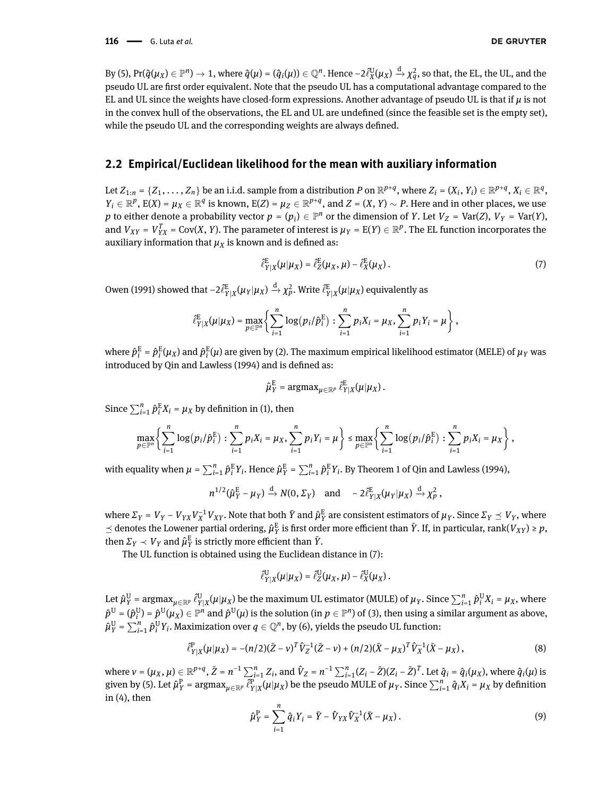By [\(5\)](#page-2-3),  $\Pr(\widehat{q}(\mu_X) \in \mathbb{P}^n) \to 1$ , where  $\widehat{q}(\mu) = (\widehat{q}_i(\mu)) \in \mathbb{Q}^n$ . Hence  $-2\widehat{\ell}_X^{\mathbb{U}}(\mu_X) \xrightarrow{\mathrm{d}} \chi^2_q$ , so that, the EL, the UL, and the pseudo UL are first order equivalent. Note that the pseudo UL has a computational advantage compared to the EL and UL since the weights have closed-form expressions. Another advantage of pseudo UL is that if  $\mu$  is not in the convex hull of the observations, the EL and UL are undefined (since the feasible set is the empty set), while the pseudo UL and the corresponding weights are always defined.

### **2.2 Empirical/Euclidean likelihood for the mean with auxiliary information**

Let  $Z_{1:n} = \{Z_1,\ldots,Z_n\}$  be an i.i.d. sample from a distribution P on  $\mathbb{R}^{p+q}$ , where  $Z_i = (X_i,\,Y_i) \in \mathbb{R}^{p+q}, X_i \in \mathbb{R}^q$ ,  $Y_i \in \mathbb{R}^p$ ,  $E(X) = \mu_X \in \mathbb{R}^q$  is known,  $E(Z) = \mu_Z \in \mathbb{R}^{p+q}$ , and  $Z = (X, Y) \sim P$ . Here and in other places, we use *p* to either denote a probability vector  $p = (p_i) \in \mathbb{P}^n$  or the dimension of *Y*. Let  $V_Z = \text{Var}(Z)$ ,  $V_Y = \text{Var}(Y)$ , and  $V_{XY} = V_{YX}^T = Cov(X, Y)$ . The parameter of interest is  $\mu_Y = E(Y) \in \mathbb{R}^p$ . The EL function incorporates the auxiliary information that  $\mu_X$  is known and is defined as:

<span id="page-3-0"></span>
$$
\hat{\ell}_{Y|X}^{\mathsf{E}}(\mu|\mu_X) = \hat{\ell}_{Z}^{\mathsf{E}}(\mu_X, \mu) - \hat{\ell}_{X}^{\mathsf{E}}(\mu_X). \tag{7}
$$

[Owen](#page-17-12) [\(1991\)](#page-17-12) showed that  $-2\ell_{Y|X}^{\rm{E}}(\mu_Y|\mu_X)\stackrel{{\rm{d}}}{\to}\chi_P^2.$  Write  $\ell_{Y|X}^{\rm{E}}(\mu|\mu_X)$  equivalently as

$$
\hat{\ell}_{Y|X}^{\rm E}(\mu|\mu_X) = \max_{p\in\mathbb{P}^n} \left\{ \sum_{i=1}^n \log\left(p_i/\hat{p}_i^{\rm E}\right) : \sum_{i=1}^n p_iX_i = \mu_X, \sum_{i=1}^n p_iY_i = \mu \right\},
$$

where  $\hat{p}^{\text{E}}_i = \hat{p}^{\text{E}}_i$  $\frac{E}{i}(\mu_X)$  and  $\hat{p}^{\text{E}}_i$  $\frac{E}{i}(\mu)$  are given by [\(2\)](#page-2-4). The maximum empirical likelihood estimator (MELE) of  $\mu$ <sub>Y</sub> was introduced by [Qin and Lawless](#page-17-22) [\(1994\)](#page-17-22) and is defined as:

$$
\hat{\mu}_Y^{\mathrm{E}} = \mathrm{argmax}_{\mu \in \mathbb{R}^p} \, \hat{\ell}_{Y|X}^{\mathrm{E}}(\mu | \mu_X) \, .
$$

Since  $\sum_{i=1}^{n} \hat{p}^{\text{E}}_i X_i = \mu_X$  by definition in [\(1\)](#page-2-0), then

$$
\max_{p \in \mathbb{P}^n} \left\{ \sum_{i=1}^n \log(p_i/\hat{p}_i^{\mathrm{E}}) : \sum_{i=1}^n p_i X_i = \mu_X, \sum_{i=1}^n p_i Y_i = \mu \right\} \le \max_{p \in \mathbb{P}^n} \left\{ \sum_{i=1}^n \log(p_i/\hat{p}_i^{\mathrm{E}}) : \sum_{i=1}^n p_i X_i = \mu_X \right\},\
$$

with equality when  $\mu = \sum_{i=1}^n \hat{p}^{\rm E}_i Y_i$ . Hence  $\hat{\mu}^{\rm E}_Y = \sum_{i=1}^n \hat{p}^{\rm E}_i Y_i$ . By Theorem 1 of [Qin and Lawless](#page-17-22) [\(1994\)](#page-17-22),

$$
n^{1/2}(\hat{\mu}_Y^{\rm E} - \mu_Y) \xrightarrow{d} N(0, \Sigma_Y) \quad \text{and} \quad -2\hat{\ell}_{Y|X}^{\rm E}(\mu_Y|\mu_X) \xrightarrow{d} \chi_p^2,
$$

where  $\Sigma_Y$  =  $V_Y$  –  $V_{YX}V_X^{-1}V_{XY}$ . Note that both  $\bar{Y}$  and  $\hat{\mu}_Y^E$  are consistent estimators of  $\mu_Y$ . Since  $\Sigma_Y\preceq V_Y$ , where  $\le$  denotes the Lowener partial ordering,  $\hat{\mu}_Y^E$  is first order more efficient than  $\bar{Y}$ . If, in particular, rank( $V_{XY}$ ) ≥  $p$ , then  $\Sigma_Y \prec V_Y$  and  $\hat{\mu}_Y^E$  is strictly more efficient than  $\bar{Y}$ .

The UL function is obtained using the Euclidean distance in [\(7\)](#page-3-0):

<span id="page-3-1"></span>
$$
\hat{\ell}_{Y|X}^{\rm U}(\mu|\mu_X)=\hat{\ell}_Z^{\rm U}(\mu_X,\mu)-\hat{\ell}_X^{\rm U}(\mu_X)\,.
$$

Let  $\hat\mu^{\rm U}_{Y}$  = argma ${\rm x}_{\mu\in\mathbb{R}^p}$   $\hat\ell^{\rm U}_{Y|X}(\mu|\mu_{X})$  be the maximum UL estimator (MULE) of  $\mu_{Y}.$  Since  $\sum_{i=1}^n \hat p_i^{\rm U}X_i=\mu_{X},$  where  $\hat{p}^{\text{U}}$  =  $(\hat{p}^{\text{U}}_i$  $g_i^U$ ) =  $\hat{p}^U(\mu_X)\in\mathbb{P}^n$  and  $\hat{p}^U(\mu)$  is the solution (in  $p\in\mathbb{P}^n$ ) of [\(3\)](#page-2-1), then using a similar argument as above,  $\hat{\mu}_Y^{\text{U}}$  =  $\sum_{i=1}^n \hat{p}^{\text{U}}_i Y_i$ . Maximization over  $q\in\mathbb{Q}^n$ , by [\(6\)](#page-2-5), yields the pseudo UL function:

$$
\hat{\ell}_{Y|X}^{P}(\mu|\mu_{X}) = -(n/2)(\bar{Z}-\nu)^{T}\hat{V}_{Z}^{-1}(\bar{Z}-\nu) + (n/2)(\bar{X}-\mu_{X})^{T}\hat{V}_{X}^{-1}(\bar{X}-\mu_{X}),
$$
\n(8)

<span id="page-3-2"></span>where  $v = (\mu_X, \mu) \in \mathbb{R}^{p+q}$ ,  $\bar{Z} = n^{-1} \sum_{i=1}^n Z_i$ , and  $\hat{V}_Z = n^{-1} \sum_{i=1}^n (Z_i - \bar{Z})(Z_i - \bar{Z})^T$ . Let  $\hat{q}_i = \hat{q}_i(\mu_X)$ , where  $\hat{q}_i(\mu)$  is given by [\(5\)](#page-2-3). Let  $\hat{\mu}_Y^P$  = argma $x_{\mu \in \mathbb{R}^p}$   $\overline{\hat{\ell}_{Y|X}^P}(\mu|\mu_X)$  be the pseudo MULE of  $\mu_Y$ . Since  $\sum_{i=1}^n \hat{q}_i X_i = \mu_X$  by definition in  $(4)$ , then

$$
\hat{\mu}_Y^{\rm P} = \sum_{i=1}^n \hat{q}_i Y_i = \bar{Y} - \hat{V}_{YX} \hat{V}_X^{-1} (\bar{X} - \mu_X). \tag{9}
$$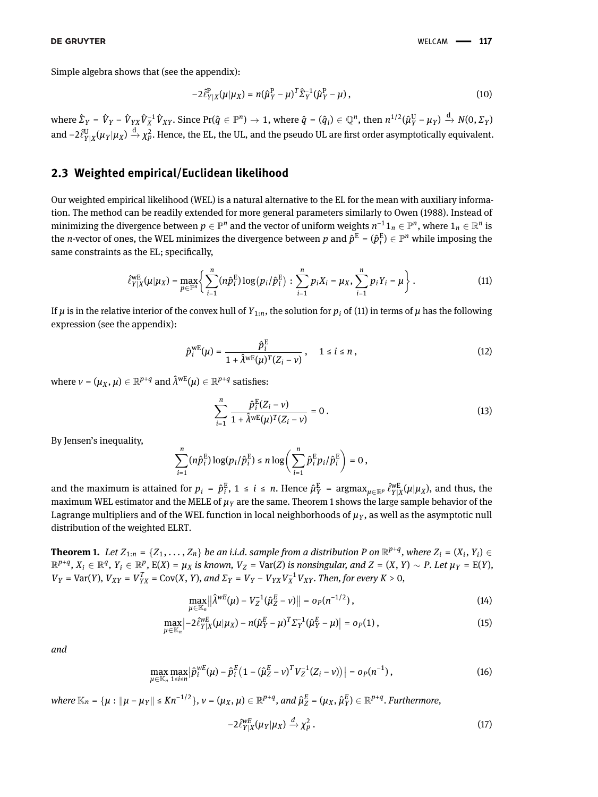Simple algebra shows that (see the appendix):

<span id="page-4-2"></span>
$$
-2\hat{\ell}_{Y|X}^{P}(\mu|\mu_{X}) = n(\hat{\mu}_{Y}^{P} - \mu)^{T} \hat{\Sigma}_{Y}^{-1}(\hat{\mu}_{Y}^{P} - \mu), \qquad (10)
$$

where  $\hat{\Sigma}_Y = \hat{V}_Y - \hat{V}_{YX}\hat{V}_X^{-1}\hat{V}_{XY}.$  Since Pr( $\hat{q} \in \mathbb{P}^n) \to 1$ , where  $\hat{q} = (\hat{q}_i) \in \mathbb{Q}^n,$  then  $n^{1/2}(\hat{\mu}_Y^{\text{U}} - \mu_Y) \xrightarrow{\text{d}} N(0, \Sigma_Y)$ and  $-2\hat{\ell}_{Y|X}^{\text{U}}(\mu_Y|\mu_X)\stackrel{\rm d}{\to}\chi_P^2.$  Hence, the EL, the UL, and the pseudo UL are first order asymptotically equivalent.

### **2.3 Weighted empirical/Euclidean likelihood**

Our weighted empirical likelihood (WEL) is a natural alternative to the EL for the mean with auxiliary information. The method can be readily extended for more general parameters similarly to [Owen](#page-17-7) [\(1988\)](#page-17-7). Instead of minimizing the divergence between  $p\in\mathbb{P}^n$  and the vector of uniform weights  $n^{-1}1_n\in\mathbb{P}^n,$  where  $1_n\in\mathbb{R}^n$  is the *n*-vector of ones, the WEL minimizes the divergence between *p* and  $\hat{p}^{\text{E}} = (\hat{p}^{\text{E}}_i)^T$  $\binom{E}{i} \in \mathbb{P}^n$  while imposing the same constraints as the EL; specifically,

<span id="page-4-0"></span>
$$
\hat{\ell}_{Y|X}^{WE}(\mu|\mu_X) = \max_{p \in \mathbb{P}^n} \left\{ \sum_{i=1}^n (n\hat{p}_i^E) \log (p_i/\hat{p}_i^E) : \sum_{i=1}^n p_i X_i = \mu_X, \sum_{i=1}^n p_i Y_i = \mu \right\}.
$$
 (11)

If  $\mu$  is in the relative interior of the convex hull of  $Y_{1:n}$ , the solution for  $p_i$  of [\(11\)](#page-4-0) in terms of  $\mu$  has the following expression (see the appendix):

<span id="page-4-3"></span>
$$
\hat{p}_i^{\text{WE}}(\mu) = \frac{\hat{p}_i^{\text{E}}}{1 + \hat{\lambda}^{\text{WE}}(\mu)^T (Z_i - \nu)}, \quad 1 \le i \le n,
$$
\n(12)

where  $\nu = (\mu_X, \mu) \in \mathbb{R}^{p+q}$  and  $\hat{\lambda}^\text{wE}(\mu) \in \mathbb{R}^{p+q}$  satisfies:

<span id="page-4-4"></span>
$$
\sum_{i=1}^{n} \frac{\hat{p}_i^{\text{E}}(Z_i - v)}{1 + \hat{\lambda}^{\text{WE}}(\mu)^{T}(Z_i - v)} = 0.
$$
\n(13)

By Jensen's inequality,

$$
\sum_{i=1}^n (n\hat{p}_i^{\rm E})\log(p_i/\hat{p}_i^{\rm E})\leq n\log\left(\sum_{i=1}^n \hat{p}_i^{\rm E}p_i/\hat{p}_i^{\rm E}\right)=0\,,
$$

and the maximum is attained for  $p_i = \hat{p}_i^E$  $\int_{i}^{E}$ , 1 ≤ *i* ≤ *n*. Hence  $\hat{\mu}_{Y}^{E}$  = argmax<sub> $\mu \in \mathbb{R}^{p}$   $\hat{\ell}_{Y|X}^{WE}(\mu|\mu_{X})$ , and thus, the</sub> maximum WEL estimator and the MELE of  $\mu_Y$  are the same. Theorem [1](#page-4-1) shows the large sample behavior of the Lagrange multipliers and of the WEL function in local neighborhoods of  $\mu_Y$ , as well as the asymptotic null distribution of the weighted ELRT.

<span id="page-4-1"></span>**Theorem 1.** Let  $Z_{1:n} = \{Z_1, \ldots, Z_n\}$  be an i.i.d. sample from a distribution P on  $\mathbb{R}^{p+q}$ , where  $Z_i = (X_i, Y_i) \in$  $\mathbb{R}^{p+q}$ ,  $X_i \in \mathbb{R}^q$ ,  $Y_i \in \mathbb{R}^p$ ,  $E(X) = \mu_X$  is known,  $V_Z = \text{Var}(Z)$  is nonsingular, and  $Z = (X, Y) \sim P$ . Let  $\mu_Y = E(Y)$ ,  $V_Y$  = Var(Y),  $V_{XY}$  =  $V_{YX}^T$  = Cov(X, Y), and  $\Sigma_Y$  =  $V_Y$  –  $V_{YX}V_X^{-1}V_{XY}$ . Then, for every  $K > 0$ ,

$$
\max_{\mu \in \mathbb{K}_n} \left\| \hat{\lambda}^{wE}(\mu) - V_Z^{-1}(\hat{\mu}_Z^E - \nu) \right\| = o_P(n^{-1/2}), \tag{14}
$$

$$
\max_{\mu \in \mathbb{K}_n} \left| -2 \hat{\ell}_{Y|X}^{WE}(\mu|\mu_X) - n(\hat{\mu}_Y^E - \mu)^T \Sigma_Y^{-1}(\hat{\mu}_Y^E - \mu) \right| = o_P(1) , \qquad (15)
$$

*and*

$$
\max_{\mu \in \mathbb{K}_n} \max_{1 \le i \le n} \left| \hat{p}_i^{wE}(\mu) - \hat{p}_i^E(1 - (\hat{\mu}_Z^E - \nu)^T V_Z^{-1}(Z_i - \nu)) \right| = o_P(n^{-1}), \tag{16}
$$

where  $\mathbb{K}_n = \{\mu : \|\mu - \mu_Y\| \le K n^{-1/2}\}, \nu = (\mu_X, \mu) \in \mathbb{R}^{p+q}$ , and  $\hat{\mu}_Z^E = (\mu_X, \hat{\mu}_Y^E) \in \mathbb{R}^{p+q}$ . Furthermore,

<span id="page-4-8"></span><span id="page-4-7"></span><span id="page-4-6"></span><span id="page-4-5"></span>
$$
-2\hat{\ell}_{Y|X}^{WE}(\mu_Y|\mu_X) \stackrel{d}{\to} \chi_P^2.
$$
 (17)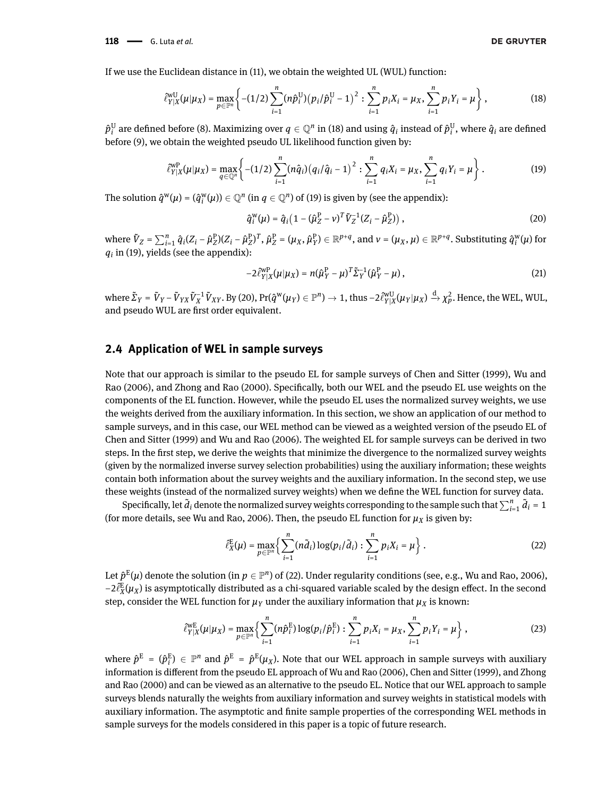If we use the Euclidean distance in [\(11\)](#page-4-0), we obtain the weighted UL (WUL) function:

$$
\hat{\ell}_{Y|X}^{\text{wU}}(\mu|\mu_X) = \max_{p \in \mathbb{P}^n} \left\{ -(1/2) \sum_{i=1}^n (n\hat{p}_i^{\text{U}}) (p_i/\hat{p}_i^{\text{U}} - 1)^2 : \sum_{i=1}^n p_i X_i = \mu_X, \sum_{i=1}^n p_i Y_i = \mu \right\},\tag{18}
$$

 $\hat{p}^{\text{U}}_i$  $\hat{g}^{\text{U}}_i$  are defined before [\(8\)](#page-3-1). Maximizing over  $q\in\mathbb{Q}^n$  in [\(18\)](#page-5-0) and using  $\hat{q}_i$  instead of  $\hat{p}^{\text{U}}_i$  $_i^{\mathrm{U}}$ , where  $\hat{q}_i$  are defined before [\(9\)](#page-3-2), we obtain the weighted pseudo UL likelihood function given by:

$$
\hat{\ell}_{Y|X}^{WP}(\mu|\mu_X) = \max_{q \in \mathbb{Q}^n} \left\{ -(1/2) \sum_{i=1}^n (n\hat{q}_i) (q_i/\hat{q}_i - 1)^2 : \sum_{i=1}^n q_i X_i = \mu_X, \sum_{i=1}^n q_i Y_i = \mu \right\}.
$$
 (19)

The solution  $\hat{q}^{\mathbf{w}}(\mu) = (\hat{q}^{\mathbf{w}}_i)$  $\mathbb{Q}^n_i(\mu)$ )  $\in \mathbb{Q}^n$  (in  $q\in \mathbb{Q}^n$ ) of [\(19\)](#page-5-1) is given by (see the appendix):

<span id="page-5-2"></span><span id="page-5-1"></span><span id="page-5-0"></span>
$$
\hat{q}_i^{\rm w}(\mu) = \hat{q}_i \left(1 - (\hat{\mu}_Z^{\rm P} - \nu)^T \tilde{V}_Z^{-1} (Z_i - \hat{\mu}_Z^{\rm P})\right),\tag{20}
$$

where  $\tilde{V}_Z = \sum_{i=1}^n \hat{q}_i (Z_i - \hat{\mu}_Z^{\text{P}}) (Z_i - \hat{\mu}_Z^{\text{P}})^T$ ,  $\hat{\mu}_Z^{\text{P}} = (\mu_X, \hat{\mu}_Y^{\text{P}}) \in \mathbb{R}^{p+q}$ , and  $v = (\mu_X, \mu) \in \mathbb{R}^{p+q}$ . Substituting  $\hat{q}_i^{\text{w}}$  $\int_i^w(\mu)$  for  $q_i$  in [\(19\)](#page-5-1), yields (see the appendix):

<span id="page-5-4"></span>
$$
-2\hat{\ell}_{Y|X}^{\text{WP}}(\mu|\mu_X) = n(\hat{\mu}_Y^{\text{P}} - \mu)^{T} \tilde{\Sigma}_Y^{-1}(\hat{\mu}_Y^{\text{P}} - \mu) , \qquad (21)
$$

where  $\tilde{\Sigma}_Y = \tilde{V}_Y - \tilde{V}_{YX}\tilde{V}_X^{-1}\tilde{V}_{XY}.$  By [\(20\)](#page-5-2), Pr( $\hat{q}^\text{w}(\mu_Y) \in \mathbb{P}^n) \to 1$ , thus  $-2\hat{\ell}_{Y|X}^\text{vU}(\mu_Y|\mu_X) \xrightarrow{\mathrm{d}} \chi_P^2.$  Hence, the WEL, WUL, and pseudo WUL are first order equivalent.

### **2.4 Application of WEL in sample surveys**

Note that our approach is similar to the pseudo EL for sample surveys of [Chen and Sitter](#page-16-2) [\(1999\)](#page-16-2), [Wu and](#page-18-4) [Rao](#page-18-4) [\(2006\)](#page-18-4), and [Zhong and Rao](#page-18-5) [\(2000\)](#page-18-5). Specifically, both our WEL and the pseudo EL use weights on the components of the EL function. However, while the pseudo EL uses the normalized survey weights, we use the weights derived from the auxiliary information. In this section, we show an application of our method to sample surveys, and in this case, our WEL method can be viewed as a weighted version of the pseudo EL of [Chen and Sitter](#page-16-2) [\(1999\)](#page-16-2) and [Wu and Rao](#page-18-4) [\(2006\)](#page-18-4). The weighted EL for sample surveys can be derived in two steps. In the first step, we derive the weights that minimize the divergence to the normalized survey weights (given by the normalized inverse survey selection probabilities) using the auxiliary information; these weights contain both information about the survey weights and the auxiliary information. In the second step, we use these weights (instead of the normalized survey weights) when we define the WEL function for survey data.

Specifically, let  $\tilde{d}_i$  denote the normalized survey weights corresponding to the sample such that  $\sum_{i=1}^n \tilde{d}_i = 1$ (for more details, see [Wu and Rao, 2006\)](#page-18-4). Then, the pseudo EL function for  $\mu_X$  is given by:

<span id="page-5-3"></span>
$$
\hat{\ell}_{X}^{\mathbb{E}}(\mu) = \max_{p \in \mathbb{P}^n} \left\{ \sum_{i=1}^n (n \tilde{d}_i) \log(p_i/\tilde{d}_i) : \sum_{i=1}^n p_i X_i = \mu \right\}.
$$
 (22)

Let  $\hat{p}^{\text{E}}(\mu)$  denote the solution (in  $p\in \mathbb{P}^n$ ) of [\(22\)](#page-5-3). Under regularity conditions (see, e.g., [Wu and Rao, 2006\)](#page-18-4),  $-2\hat{\ell}_{X}^{\rm E}(\mu_X)$  is asymptotically distributed as a chi-squared variable scaled by the design effect. In the second step, consider the WEL function for  $\mu_Y$  under the auxiliary information that  $\mu_X$  is known:

$$
\hat{\ell}_{Y|X}^{WE}(\mu|\mu_X) = \max_{p \in \mathbb{P}^n} \left\{ \sum_{i=1}^n (n\hat{p}_i^E) \log(p_i/\hat{p}_i^E) : \sum_{i=1}^n p_i X_i = \mu_X, \sum_{i=1}^n p_i Y_i = \mu \right\},\tag{23}
$$

where  $\hat{p}^{\text{E}}$  =  $(\hat{p}^{\text{E}}_i)$  $I^{\rm E}_{i}$ )  $\in\ \mathbb{P}^n$  and  $\hat{p}^{\rm E}$  =  $\hat{p}^{\rm E}(\mu_X)$ . Note that our WEL approach in sample surveys with auxiliary information is different from the pseudo EL approach of [Wu and Rao](#page-18-4) [\(2006\)](#page-18-4), [Chen and Sitter](#page-16-2) [\(1999\)](#page-16-2), and [Zhong](#page-18-5) [and Rao](#page-18-5) [\(2000\)](#page-18-5) and can be viewed as an alternative to the pseudo EL. Notice that our WEL approach to sample surveys blends naturally the weights from auxiliary information and survey weights in statistical models with auxiliary information. The asymptotic and finite sample properties of the corresponding WEL methods in sample surveys for the models considered in this paper is a topic of future research.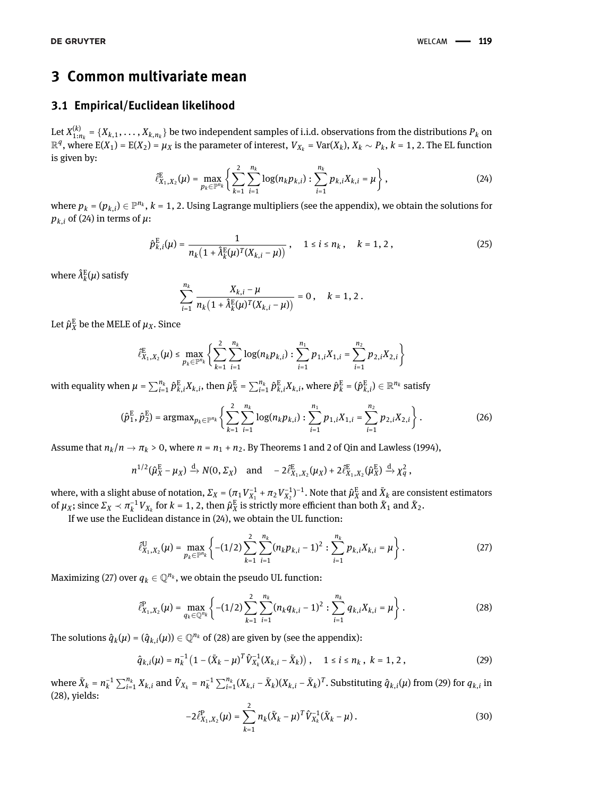# **3 Common multivariate mean**

# **3.1 Empirical/Euclidean likelihood**

<span id="page-6-0"></span>Let  $X_{1:n_k}^{(k)} = \{X_{k,1}, \ldots, X_{k,n_k}\}$  be two independent samples of i.i.d. observations from the distributions  $P_k$  on  $\mathbb{R}^q$ , where  $E(X_1) = E(X_2) = \mu_X$  is the parameter of interest,  $V_{X_k} = \text{Var}(X_k)$ ,  $X_k \sim P_k$ ,  $k = 1, 2$ . The EL function is given by:

$$
\hat{\ell}_{X_1, X_2}^{\mathbb{E}}(\mu) = \max_{p_k \in \mathbb{P}^{n_k}} \left\{ \sum_{k=1}^2 \sum_{i=1}^{n_k} \log(n_k p_{k,i}) : \sum_{i=1}^{n_k} p_{k,i} X_{k,i} = \mu \right\},\tag{24}
$$

where  $p_k$  =  $(p_{k,i})$   $\in$   $\mathbb{P}^{n_k}$ ,  $k$  = 1, 2. Using Lagrange multipliers (see the appendix), we obtain the solutions for  $p_{k,i}$  of [\(24\)](#page-6-0) in terms of  $\mu$ :

<span id="page-6-6"></span>
$$
\hat{p}_{k,i}^{\rm E}(\mu) = \frac{1}{n_k \left(1 + \hat{\lambda}_k^{\rm E}(\mu)^T (X_{k,i} - \mu)\right)} \,, \quad 1 \le i \le n_k \,, \quad k = 1, 2 \,, \tag{25}
$$

where  $\hat{\lambda}^{\rm E}_k$  $k^{\text{E}}(\mu)$  satisfy

<span id="page-6-5"></span>
$$
\sum_{i=1}^{n_k} \frac{X_{k,i} - \mu}{n_k \left(1 + \hat{\lambda}_k^E(\mu)^T (X_{k,i} - \mu)\right)} = 0, \quad k = 1, 2.
$$

Let  $\hat{\mu}_X^{\text{E}}$  be the MELE of  $\mu_X$ . Since

$$
\hat{\ell}_{X_1,X_2}^{\mathrm{E}}(\mu) \leq \max_{p_k \in \mathbb{P}^{n_k}} \left\{ \sum_{k=1}^2 \sum_{i=1}^{n_k} \log(n_k p_{k,i}) : \sum_{i=1}^{n_1} p_{1,i} X_{1,i} = \sum_{i=1}^{n_2} p_{2,i} X_{2,i} \right\}
$$

with equality when  $\mu=\sum_{i=1}^{n_k}\hat{p}^\text{E}_{k,i}X_{k,i}$ , then  $\hat{\mu}^\text{E}_X=\sum_{i=1}^{n_k}\hat{p}^\text{E}_{k,i}X_{k,i}$ , where  $\hat{p}^\text{E}_k$  $\hat{k}^{\text{E}} = (\hat{p}^{\text{E}}_{k,i}) \in \mathbb{R}^{n_k}$  satisfy

$$
(\hat{p}_1^{\mathrm{E}}, \hat{p}_2^{\mathrm{E}}) = \mathrm{argmax}_{p_k \in \mathbb{P}^{n_k}} \left\{ \sum_{k=1}^2 \sum_{i=1}^{n_k} \log(n_k p_{k,i}) : \sum_{i=1}^{n_1} p_{1,i} X_{1,i} = \sum_{i=1}^{n_2} p_{2,i} X_{2,i} \right\}.
$$
 (26)

Assume that  $n_k/n \to \pi_k > 0$ , where  $n = n_1 + n_2$ . By Theorems 1 and 2 of [Qin and Lawless](#page-17-22) [\(1994\)](#page-17-22),

$$
n^{1/2}(\hat{\mu}_X^{\mathcal{E}} - \mu_X) \xrightarrow{d} N(0, \Sigma_X) \quad \text{and} \quad -2\hat{\ell}_{X_1, X_2}^{\mathcal{E}}(\mu_X) + 2\hat{\ell}_{X_1, X_2}^{\mathcal{E}}(\hat{\mu}_X^{\mathcal{E}}) \xrightarrow{d} \chi_q^2,
$$

where, with a slight abuse of notation,  $\varSigma_X=(\pi_1V_{X_1}^{-1}+\pi_2V_{X_2}^{-1})^{-1}.$  Note that  $\hat\mu_X^E$  and  $\bar X_k$  are consistent estimators of  $\mu_X$ ; since  $\Sigma_X \prec \pi_k^{-1}V_{X_k}$  for  $k = 1, 2$ , then  $\hat{\mu}_X^E$  is strictly more efficient than both  $\overline{X}_1$  and  $\overline{X}_2$ .

If we use the Euclidean distance in [\(24\)](#page-6-0), we obtain the UL function:

<span id="page-6-1"></span>
$$
\hat{\ell}_{X_1,X_2}^{\mathrm{U}}(\mu) = \max_{p_k \in \mathbb{P}^{n_k}} \left\{ -(1/2) \sum_{k=1}^2 \sum_{i=1}^{n_k} (n_k p_{k,i} - 1)^2 : \sum_{i=1}^{n_k} p_{k,i} X_{k,i} = \mu \right\}.
$$
 (27)

Maximizing [\(27\)](#page-6-1) over  $q_k \in \mathbb{Q}^{n_k}$ , we obtain the pseudo UL function:

<span id="page-6-2"></span>
$$
\hat{\ell}_{X_1,X_2}^{\mathrm{P}}(\mu) = \max_{q_k \in \mathbb{Q}^{n_k}} \left\{ -(1/2) \sum_{k=1}^2 \sum_{i=1}^{n_k} (n_k q_{k,i} - 1)^2 : \sum_{i=1}^{n_k} q_{k,i} X_{k,i} = \mu \right\}.
$$
 (28)

The solutions  $\hat{q}_k(\mu) = (\hat{q}_{k,i}(\mu)) \in \mathbb{Q}^{n_k}$  of [\(28\)](#page-6-2) are given by (see the appendix):

<span id="page-6-4"></span>
$$
\hat{q}_{k,i}(\mu) = n_k^{-1} \left( 1 - (\bar{X}_k - \mu)^T \hat{V}_{X_k}^{-1} (X_{k,i} - \bar{X}_k) \right), \quad 1 \le i \le n_k, \ k = 1, 2,
$$
 (29)

where  $\bar{X}_k = n_k^{-1}$  $\sum_{i=1}^{n_k} X_{k,i}$  and  $\hat{V}_{X_k} = n_k^{-1}$  $\bar{X}_k^{-1}\sum_{i=1}^{n_k}(X_{k,i}-\bar{X}_k)(X_{k,i}-\bar{X}_k)^T$ . Substituting  $\hat{q}_{k,i}(\mu)$  from [\(29\)](#page-6-3) for  $q_{k,i}$  in [\(28\)](#page-6-2), yields:

<span id="page-6-3"></span>
$$
-2\hat{\ell}_{X_1,X_2}^{\rm P}(\mu) = \sum_{k=1}^2 n_k (\bar{X}_k - \mu)^T \hat{V}_{X_k}^{-1} (\bar{X}_k - \mu).
$$
 (30)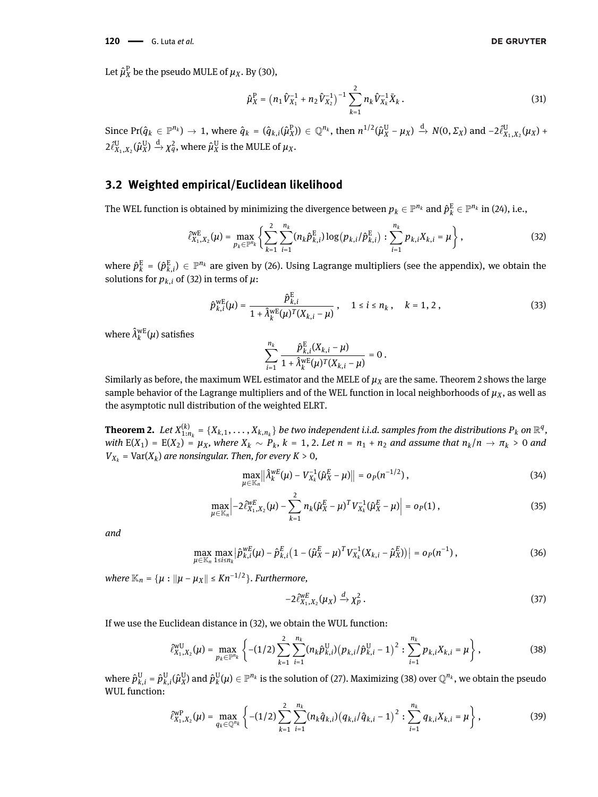Let  $\hat{\mu}_X^{\text{P}}$  be the pseudo MULE of  $\mu_X$ . By [\(30\)](#page-6-4),

<span id="page-7-4"></span>
$$
\hat{\mu}_X^{\rm P} = \left(n_1 \hat{V}_{X_1}^{-1} + n_2 \hat{V}_{X_2}^{-1}\right)^{-1} \sum_{k=1}^2 n_k \hat{V}_{X_k}^{-1} \bar{X}_k \,. \tag{31}
$$

Since Pr $(\hat{q}_k \in \mathbb{P}^{n_k}) \to 1$ , where  $\hat{q}_k = (\hat{q}_{k,i}(\hat{\mu}_X^P)) \in \mathbb{Q}^{n_k}$ , then  $n^{1/2}(\hat{\mu}_X^U - \mu_X) \xrightarrow{d} N(0, \Sigma_X)$  and  $-2\hat{\ell}_{X_1, X_2}^U(\mu_X) +$  $2\hat{\ell}_{X_1,X_2}^{\text{U}}(\hat{\mu}_X^{\text{U}})$  $V_X^{\mathrm{U}}$ )  $\stackrel{\mathrm{d}}{\rightarrow} \chi_q^2$ , where  $\hat{\mu}_X^{\mathrm{U}}$  $X^{\text{U}}$  is the MULE of  $\mu_X$ .

# **3.2 Weighted empirical/Euclidean likelihood**

The WEL function is obtained by minimizing the divergence between  $p_k\in\mathbb P^{n_k}$  and  $\hat p^{\rm E}_k\in\mathbb P^{n_k}$  in [\(24\)](#page-6-0), i.e.,

$$
\hat{\ell}_{X_1,X_2}^{\text{WE}}(\mu) = \max_{p_k \in \mathbb{P}^{n_k}} \left\{ \sum_{k=1}^2 \sum_{i=1}^{n_k} (n_k \hat{p}_{k,i}^{\text{E}}) \log (p_{k,i} / \hat{p}_{k,i}^{\text{E}}) : \sum_{i=1}^{n_k} p_{k,i} X_{k,i} = \mu \right\},\tag{32}
$$

where  $\hat{p}^{\rm E}_k$  $\hat{k}$  =  $(\hat{p}^E_{k,i}) \in \mathbb{P}^{n_k}$  are given by [\(26\)](#page-6-5). Using Lagrange multipliers (see the appendix), we obtain the solutions for  $p_{k,i}$  of [\(32\)](#page-7-0) in terms of  $\mu$ :

<span id="page-7-5"></span>
$$
\hat{p}_{k,i}^{\text{WE}}(\mu) = \frac{\hat{p}_{k,i}^{\text{E}}}{1 + \hat{\lambda}_k^{\text{WE}}(\mu)^T (X_{k,i} - \mu)}, \quad 1 \le i \le n_k, \quad k = 1, 2,
$$
\n(33)

where  $\hat{\lambda}^{\text{wE}}_k$  $_{k}^{\text{wE}}(\mu)$  satisfies

<span id="page-7-0"></span>
$$
\sum_{i=1}^{n_k}\frac{\hat{p}^{\rm E}_{k,i}(X_{k,i}-\mu)}{1+\hat{\lambda}^{\rm w{\rm E}}_k(\mu)^T(X_{k,i}-\mu)}=0\,.
$$

Similarly as before, the maximum WEL estimator and the MELE of  $\mu_X$  are the same. Theorem [2](#page-7-1) shows the large sample behavior of the Lagrange multipliers and of the WEL function in local neighborhoods of  $\mu_X$ , as well as the asymptotic null distribution of the weighted ELRT.

<span id="page-7-1"></span>**Theorem 2.** Let  $X_{1:n_k}^{(k)} = \{X_{k,1},\ldots,X_{k,n_k}\}$  be two independent i.i.d. samples from the distributions  $P_k$  on  $\mathbb{R}^q$ , with  $E(X_1) = E(X_2) = \mu_X$ , where  $X_k \sim P_k$ ,  $k = 1, 2$ . Let  $n = n_1 + n_2$  and assume that  $n_k/n \to \pi_k > 0$  and  $V_{X_k}$  = Var( $X_k$ ) are nonsingular. Then, for every  $K > 0$ ,

$$
\max_{\mu \in \mathbb{K}_n} \left\| \hat{\lambda}_k^{wE}(\mu) - V_{X_k}^{-1}(\hat{\mu}_X^E - \mu) \right\| = o_P(n^{-1/2}), \tag{34}
$$

$$
\max_{\mu \in \mathbb{K}_n} \left| -2 \hat{\ell}_{X_1, X_2}^{wE}(\mu) - \sum_{k=1}^2 n_k (\hat{\mu}_X^E - \mu)^T V_{X_k}^{-1} (\hat{\mu}_X^E - \mu) \right| = o_P(1), \tag{35}
$$

*and*

$$
\max_{\mu \in \mathbb{K}_n} \max_{1 \le i \le n_k} \left| \hat{p}_{k,i}^{wE}(\mu) - \hat{p}_{k,i}^E (1 - (\hat{\mu}_X^E - \mu)^T V_{X_k}^{-1} (X_{k,i} - \hat{\mu}_X^E)) \right| = o_P(n^{-1}), \tag{36}
$$

 $where \mathbb{K}_n = \{ \mu : || \mu - \mu_X || \leq K n^{-1/2} \}.$  Furthermore,

<span id="page-7-9"></span><span id="page-7-8"></span><span id="page-7-7"></span><span id="page-7-6"></span><span id="page-7-2"></span>
$$
-2\hat{\ell}_{X_1,X_2}^{\text{WE}}(\mu_X) \xrightarrow{d} \chi_p^2. \tag{37}
$$

If we use the Euclidean distance in [\(32\)](#page-7-0), we obtain the WUL function:

$$
\hat{\ell}_{X_1,X_2}^{\text{wU}}(\mu) = \max_{p_k \in \mathbb{P}^{n_k}} \left\{ -(1/2) \sum_{k=1}^2 \sum_{i=1}^{n_k} (n_k \hat{p}_{k,i}^{\text{U}}) (p_{k,i} / \hat{p}_{k,i}^{\text{U}} - 1)^2 : \sum_{i=1}^{n_k} p_{k,i} X_{k,i} = \mu \right\},
$$
\n(38)

where  $\hat{p}^{\text{U}}_{k,i} = \hat{p}^{\text{U}}_{k,i}(\hat{\mu}^{\text{U}}_{X})$  $_Y^{\mathrm{U}}$ ) and  $\hat{p}^{\mathrm{U}}_k$  $\psi^{\rm U}_k(\mu)\in\mathbb{P}^{n_k}$  is the solution of [\(27\)](#page-6-1). Maximizing [\(38\)](#page-7-2) over  $\mathbb{Q}^{n_k}$ , we obtain the pseudo WUL function:

<span id="page-7-3"></span>
$$
\hat{\ell}_{X_1,X_2}^{\text{WP}}(\mu) = \max_{q_k \in \mathbb{Q}^{n_k}} \left\{ -(1/2) \sum_{k=1}^2 \sum_{i=1}^{n_k} (n_k \hat{q}_{k,i}) (q_{k,i} / \hat{q}_{k,i} - 1)^2 : \sum_{i=1}^{n_k} q_{k,i} X_{k,i} = \mu \right\},\tag{39}
$$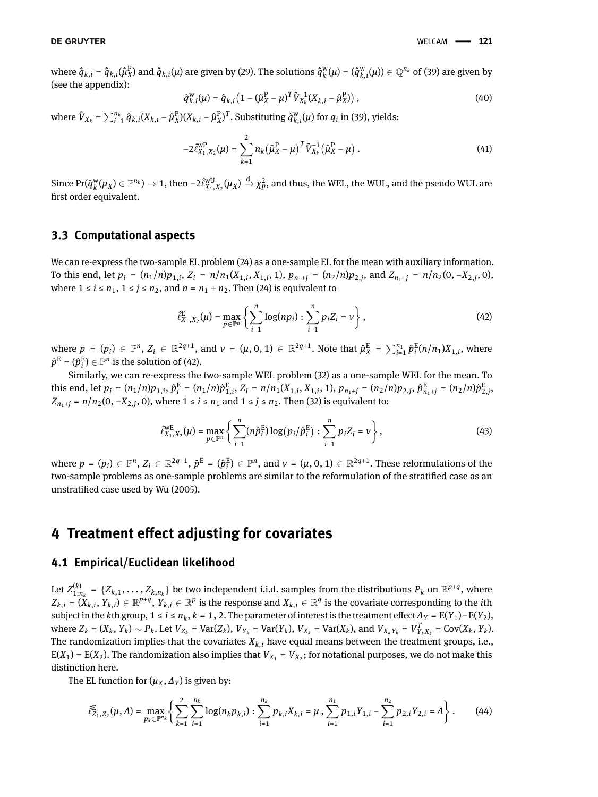where  $\hat{q}_{k,i}$  =  $\hat{q}_{k,i}(\hat{\mu}_X^\text{P})$  and  $\hat{q}_{k,i}(\mu)$  are given by [\(29\)](#page-6-3). The solutions  $\hat{q}_k^\text{w}$  $\phi_k^w(\mu) = (\hat{q}_{k,i}^w(\mu)) \in \mathbb{Q}^{n_k}$  of [\(39\)](#page-7-3) are given by (see the appendix):

<span id="page-8-3"></span>
$$
\hat{q}_{k,i}^{W}(\mu) = \hat{q}_{k,i} \left( 1 - (\hat{\mu}_{X}^{P} - \mu)^{T} \tilde{V}_{X_{k}}^{-1} (X_{k,i} - \hat{\mu}_{X}^{P}) \right),
$$
\n(40)

where  $\tilde{V}_{X_k} = \sum_{i=1}^{n_k} \hat{q}_{k,i} (X_{k,i} - \hat{\mu}_X^{\text{P}})(X_{k,i} - \hat{\mu}_X^{\text{P}})^T$ . Substituting  $\hat{q}_{k,i}^{\text{w}}(\mu)$  for  $q_i$  in [\(39\)](#page-7-3), yields:

$$
-2\tilde{\ell}_{X_1,X_2}^{\rm wP}(\mu) = \sum_{k=1}^2 n_k (\hat{\mu}_X^{\rm P} - \mu)^T \tilde{V}_{X_k}^{-1} (\hat{\mu}_X^{\rm P} - \mu) \ . \tag{41}
$$

Since Pr(*q*^ w  $\chi^{\rm w}_k(\mu_X) \in \mathbb{P}^{n_k}) \to 1,$  then  $-2\hat{\ell}^{\rm wU}_{X_1,X_2}(\mu_X) \stackrel{{\rm d}}{\to} \chi^2_p,$  and thus, the WEL, the WUL, and the pseudo WUL are first order equivalent.

### **3.3 Computational aspects**

We can re-express the two-sample EL problem [\(24\)](#page-6-0) as a one-sample EL for the mean with auxiliary information. To this end, let  $p_i = (n_1/n)p_{1,i}$ ,  $Z_i = n/n_1(X_{1,i}, X_{1,i}, 1)$ ,  $p_{n_1+j} = (n_2/n)p_{2,j}$ , and  $Z_{n_1+j} = n/n_2(0, -X_{2,j}, 0)$ , where  $1 \le i \le n_1$ ,  $1 \le j \le n_2$ , and  $n = n_1 + n_2$ . Then [\(24\)](#page-6-0) is equivalent to

<span id="page-8-2"></span><span id="page-8-0"></span>
$$
\hat{\ell}_{X_1,X_2}^{\rm E}(\mu) = \max_{p \in \mathbb{P}^n} \left\{ \sum_{i=1}^n \log(np_i) : \sum_{i=1}^n p_i Z_i = \nu \right\},\tag{42}
$$

where  $p = (p_i) \in \mathbb{P}^n$ ,  $Z_i \in \mathbb{R}^{2q+1}$ , and  $\nu = (\mu, 0, 1) \in \mathbb{R}^{2q+1}$ . Note that  $\hat{\mu}_X^{\text{E}} = \sum_{i=1}^{n_1} \hat{p}_i^{\text{E}}$  $\sum_{i}^{E}$ (*n*/*n*<sub>1</sub>)*X*<sub>1,*i*</sub>, where  $\hat{p}^{\text{E}} = (\hat{p}^{\text{E}}_i)$  $\binom{E}{i} \in \mathbb{P}^n$  is the solution of [\(42\)](#page-8-0).

Similarly, we can re-express the two-sample WEL problem [\(32\)](#page-7-0) as a one-sample WEL for the mean. To this end, let  $p_i = (n_1/n)p_{1,i}, \hat{p}_i^E = (n_1/n)\hat{p}_{1,i}^E, Z_i = n/n_1(X_{1,i}, X_{1,i}, 1), p_{n_1+j} = (n_2/n)p_{2,j}, \hat{p}_{n_1+j}^E = (n_2/n)\hat{p}_{2,j}^E$ *Z*<sub>*n*<sub>1</sub>+*j*</sub> = *n*/*n*<sub>2</sub>(0, −*X*<sub>2</sub>,*j*</sub>, 0), where 1 ≤ *i* ≤ *n*<sub>1</sub> and 1 ≤ *j* ≤ *n*<sub>2</sub>. Then [\(32\)](#page-7-0) is equivalent to:

$$
\hat{\ell}_{X_1, X_2}^{\text{WE}}(\mu) = \max_{p \in \mathbb{P}^n} \left\{ \sum_{i=1}^n (n \hat{p}_i^{\text{E}}) \log (p_i / \hat{p}_i^{\text{E}}) : \sum_{i=1}^n p_i Z_i = \nu \right\},\tag{43}
$$

where  $p = (p_i) \in \mathbb{P}^n$ ,  $Z_i \in \mathbb{R}^{2q+1}$ ,  $\hat{p}^{\text{E}} = (\hat{p}^{\text{E}}_i)$  $\mathbf{f}_i^{\mathrm{E}}$ )  $\in \mathbb{P}^n$ , and  $v = (\mu, 0, 1) \in \mathbb{R}^{2q+1}$ . These reformulations of the two-sample problems as one-sample problems are similar to the reformulation of the stratified case as an unstratified case used by [Wu](#page-18-9) [\(2005\)](#page-18-9).

# **4 Treatment effect adjusting for covariates**

### <span id="page-8-1"></span>**4.1 Empirical/Euclidean likelihood**

Let  $Z_{1:n_k}^{(k)} = \{Z_{k,1}, \ldots, Z_{k,n_k}\}$  be two independent i.i.d. samples from the distributions  $P_k$  on  $\mathbb{R}^{p+q}$ , where  $Z_{k,i} = (X_{k,i}, Y_{k,i}) \in \mathbb{R}^{p+q}, Y_{k,i} \in \mathbb{R}^p$  is the response and  $X_{k,i} \in \mathbb{R}^q$  is the covariate corresponding to the *i*th subject in the *k*th group, 1 ≤ *i* ≤  $n_k$ , *k* = 1, 2. The parameter of interest is the treatment effect  $\Delta_Y = E(Y_1) - E(Y_2)$ , where  $Z_k = (X_k, Y_k) \sim P_k$ . Let  $V_{Z_k} = \text{Var}(Z_k)$ ,  $V_{Y_k} = \text{Var}(Y_k)$ ,  $V_{X_k} = \text{Var}(X_k)$ , and  $V_{X_k Y_k} = V_{Y_k X_k}^T = \text{Cov}(X_k, Y_k)$ . The randomization implies that the covariates  $X_{k,i}$  have equal means between the treatment groups, i.e.,  $E(X_1) = E(X_2)$ . The randomization also implies that  $V_{X_1} = V_{X_2}$ ; for notational purposes, we do not make this distinction here.

The EL function for  $(\mu_X, \Delta_Y)$  is given by:

$$
\hat{\ell}_{Z_1,Z_2}^{\rm E}(\mu,\Delta) = \max_{p_k \in \mathbb{P}^{n_k}} \left\{ \sum_{k=1}^2 \sum_{i=1}^{n_k} \log(n_k p_{k,i}) : \sum_{i=1}^{n_k} p_{k,i} X_{k,i} = \mu, \sum_{i=1}^{n_1} p_{1,i} Y_{1,i} - \sum_{i=1}^{n_2} p_{2,i} Y_{2,i} = \Delta \right\}.
$$
 (44)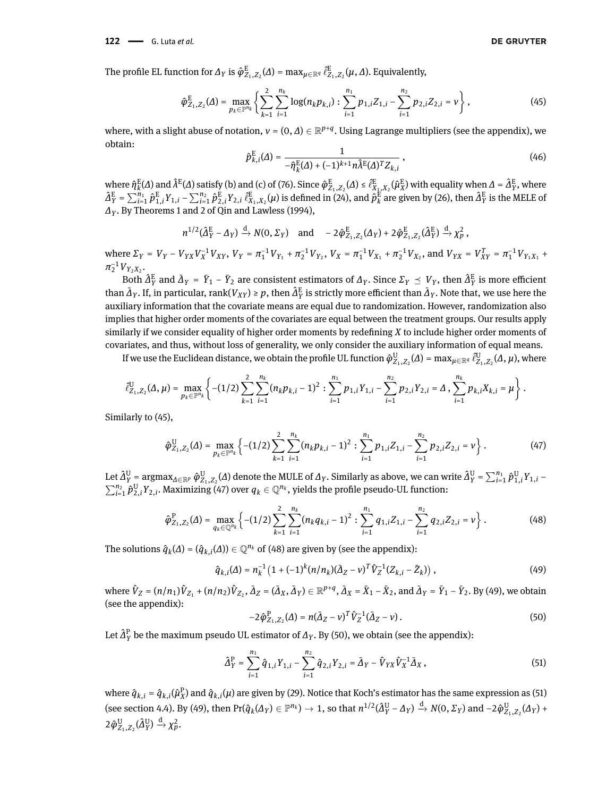The profile EL function for  $\Delta_Y$  is  $\hat{\varphi}^{\text{E}}_{Z_1, Z_2}(\varDelta) = \max_{\mu \in \mathbb{R}^q} \hat{\ell}^{\text{E}}_{Z_1, Z_2}(\mu, \varDelta)$ . Equivalently,

$$
\hat{\varphi}_{Z_1, Z_2}^{\rm E}(\Delta) = \max_{p_k \in \mathbb{P}^{n_k}} \left\{ \sum_{k=1}^2 \sum_{i=1}^{n_k} \log(n_k p_{k,i}) : \sum_{i=1}^{n_1} p_{1,i} Z_{1,i} - \sum_{i=1}^{n_2} p_{2,i} Z_{2,i} = \nu \right\},\tag{45}
$$

<span id="page-9-6"></span>where, with a slight abuse of notation,  $v = (0, \varDelta) \in \mathbb{R}^{p+q}$ . Using Lagrange multipliers (see the appendix), we obtain:

<span id="page-9-0"></span>
$$
\hat{p}_{k,i}^{\mathrm{E}}(\Delta) = \frac{1}{-\hat{\eta}_k^{\mathrm{E}}(\Delta) + (-1)^{k+1} n \hat{\lambda}^{\mathrm{E}}(\Delta)^T Z_{k,i}},
$$
\n(46)

where  $\hat{\eta}_k^{\rm E}$  $_{k}^{E}(\varDelta)$  and  $\hat{\lambda}^{E}(\varDelta)$  satisfy (b) and (c) of [\(76\)](#page-23-0). Since  $\hat{\varphi}^E_{Z_1,Z_2}(\varDelta)\leq \hat{\ell}_{X_1,X_2}^{E}(\hat{\mu}_{X}^{E})$  with equality when  $\varDelta=\hat{\Delta}_{Y}^{E}$ , where  $\hat{\Delta}_{Y}^{E} = \sum_{i=1}^{n_1} \hat{p}^{E}_{1,i} Y_{1,i} - \sum_{i=1}^{n_2} \hat{p}^{E}_{2,i} Y_{2,i} \; \hat{\ell}^{E}_{X_1,X_2}(\mu)$  is defined in [\(24\)](#page-6-0), and  $\hat{\rho}^{E}_{k}$  $\frac{F}{k}$  are given by [\(26\)](#page-6-5), then  $\hat{\Delta}^{\text{E}}_{Y}$  is the MELE of *∆<sup>Y</sup>* . By Theorems 1 and 2 of [Qin and Lawless](#page-17-22) [\(1994\)](#page-17-22),

$$
n^{1/2}(\hat{\Delta}_{Y}^{E}-\Delta_{Y})\xrightarrow{d} N(0,\Sigma_{Y}) \quad \text{and} \quad -2\hat{\varphi}_{Z_{1},Z_{2}}^{E}(\Delta_{Y})+2\hat{\varphi}_{Z_{1},Z_{2}}^{E}(\hat{\Delta}_{Y}^{E})\xrightarrow{d} \chi_{p}^{2},
$$

where  $\Sigma_Y = V_Y - V_{YX}V_X^{-1}V_{XY}$ ,  $V_Y = \pi_1^{-1}V_{Y_1} + \pi_2^{-1}V_{Y_2}$ ,  $V_X = \pi_1^{-1}V_{X_1} + \pi_2^{-1}V_{X_2}$ , and  $V_{YX} = V_{XY}^T = \pi_1^{-1}V_{Y_1X_1} + \pi_2^{-1}V_{X_2}$  $\pi_2^{-1}V_{Y_2X_2}$ .

Both  $\hat{A}^E_Y$  and  $\bar{A}_Y = \bar{Y}_1 - \bar{Y}_2$  are consistent estimators of  $\Delta_Y$ . Since  $\Sigma_Y \preceq V_Y$ , then  $\hat{A}^E_Y$  is more efficient than  $\bar{\Delta}_Y$ . If, in particular, rank( $V_{XY}$ ) ≥  $p$ , then  $\hat{\Delta}_Y^E$  is strictly more efficient than  $\bar{\Delta}_Y$ . Note that, we use here the auxiliary information that the covariate means are equal due to randomization. However, randomization also implies that higher order moments of the covariates are equal between the treatment groups. Our results apply similarly if we consider equality of higher order moments by redefining *X* to include higher order moments of covariates, and thus, without loss of generality, we only consider the auxiliary information of equal means.

If we use the Euclidean distance, we obtain the profile UL function  $\hat{\varphi}^U_{Z_1,Z_2}(\varDelta)$  = max $_{\mu\in\R^q}\hat{\ell}^U_{Z_1,Z_2}(\varDelta,\mu)$ , where

$$
\hat{\ell}_{Z_1,Z_2}^{\rm U}(\Delta,\mu)=\max_{p_k\in\mathbb{P}^{n_k}}\left\{-(1/2)\sum_{k=1}^2\sum_{i=1}^{n_k}(n_kp_{k,i}-1)^2:\sum_{i=1}^{n_1}p_{1,i}Y_{1,i}-\sum_{i=1}^{n_2}p_{2,i}Y_{2,i}=\Delta\sum_{i=1}^{n_k}p_{k,i}X_{k,i}=\mu\right\}.
$$

Similarly to [\(45\)](#page-9-0),

<span id="page-9-1"></span>
$$
\hat{\varphi}_{Z_1,Z_2}^{\mathrm{U}}(\Delta) = \max_{p_k \in \mathbb{P}^{n_k}} \left\{ -(1/2) \sum_{k=1}^2 \sum_{i=1}^{n_k} (n_k p_{k,i} - 1)^2 : \sum_{i=1}^{n_1} p_{1,i} Z_{1,i} - \sum_{i=1}^{n_2} p_{2,i} Z_{2,i} = \nu \right\}.
$$
 (47)

Let  $\hat{\Delta}^{\rm U}_{Y}$  = argmax $_{A\in\mathbb{R}^p}$   $\hat{\varphi}^{\rm U}_{Z_1,Z_2}(\varDelta)$  denote the MULE of  $\varDelta_{Y}.$  Similarly as above, we can write  $\hat{\varDelta}^{\rm U}_{Y}$  =  $\sum_{i=1}^{n_1}\hat{p}^{\rm U}_{1,i}Y_{1,i}$  –  $\sum_{i=1}^{n_2} \hat{p}^U_{2,i}Y_{2,i}$ . Maximizing [\(47\)](#page-9-1) over  $q_k \in \mathbb{Q}^{n_k}$ , yields the profile pseudo-UL function:

$$
\hat{\varphi}_{Z_1,Z_2}^P(\Delta) = \max_{q_k \in \mathbb{Q}^{n_k}} \left\{ -(1/2) \sum_{k=1}^2 \sum_{i=1}^{n_k} (n_k q_{k,i} - 1)^2 : \sum_{i=1}^{n_1} q_{1,i} Z_{1,i} - \sum_{i=1}^{n_2} q_{2,i} Z_{2,i} = \nu \right\}.
$$
 (48)

The solutions  $\hat{q}_k(\Delta) = (\hat{q}_{k,i}(\Delta)) \in \mathbb{Q}^{n_k}$  of [\(48\)](#page-9-2) are given by (see the appendix):

<span id="page-9-4"></span>
$$
\hat{q}_{k,i}(\Delta) = n_k^{-1} \left( 1 + (-1)^k (n/n_k) (\bar{\Delta}_Z - \nu)^T \hat{V}_Z^{-1} (Z_{k,i} - \bar{Z}_k) \right), \tag{49}
$$

where  $\hat{V}_Z=(n/n_1)\hat{V}_{Z_1}+(n/n_2)\hat{V}_{Z_2}, \bar{A}_Z=(\bar{A}_X,\bar{A}_Y)\in\mathbb{R}^{p+q}, \bar{A}_X=\bar{X}_1-\bar{X}_2,$  and  $\bar{A}_Y=\bar{Y}_1-\bar{Y}_2.$  By [\(49\)](#page-9-3), we obtain (see the appendix):

<span id="page-9-5"></span><span id="page-9-3"></span><span id="page-9-2"></span>
$$
-2\hat{\varphi}_{Z_1,Z_2}^{\rm P}(\Delta) = n(\bar{\Delta}_Z - \nu)^T \hat{V}_Z^{-1}(\bar{\Delta}_Z - \nu) \,. \tag{50}
$$

Let *<sup>∆</sup>*^<sup>P</sup> *<sup>Y</sup>* be the maximum pseudo UL estimator of *<sup>∆</sup><sup>Y</sup>* . By [\(50\)](#page-9-4), we obtain (see the appendix):

$$
\hat{\Delta}_Y^{\rm P} = \sum_{i=1}^{n_1} \hat{q}_{1,i} Y_{1,i} - \sum_{i=1}^{n_2} \hat{q}_{2,i} Y_{2,i} = \bar{\Delta}_Y - \hat{V}_{YX} \hat{V}_X^{-1} \bar{\Delta}_X , \qquad (51)
$$

where  $\hat q_{k,i}$  =  $\hat q_{k,i}(\hat\mu_X^p)$  and  $\hat q_{k,i}(\mu)$  are given by [\(29\)](#page-6-3). Notice that Koch's estimator has the same expression as [\(51\)](#page-9-5) (see section [4.4\)](#page-11-0). By [\(49\)](#page-9-3), then  $\Pr(\hat{q}_k(\varDelta_Y)\in\mathbb{P}^{n_k})\to 1$ , so that  $n^{1/2}(\hat{\varDelta}^{\mathrm{U}}_Y-\varDelta_Y)\xrightarrow{\mathrm{d}} N(0,\varSigma_Y)$  and  $-2\hat{\varphi}^{\mathrm{U}}_{Z_1,Z_2}(\varDelta_Y)+$  $2\hat{\varphi}_{Z_1,Z_2}^{\rm U}(\hat{\Delta}_Y^{\rm U}) \stackrel{\rm d}{\rightarrow} \chi_p^2.$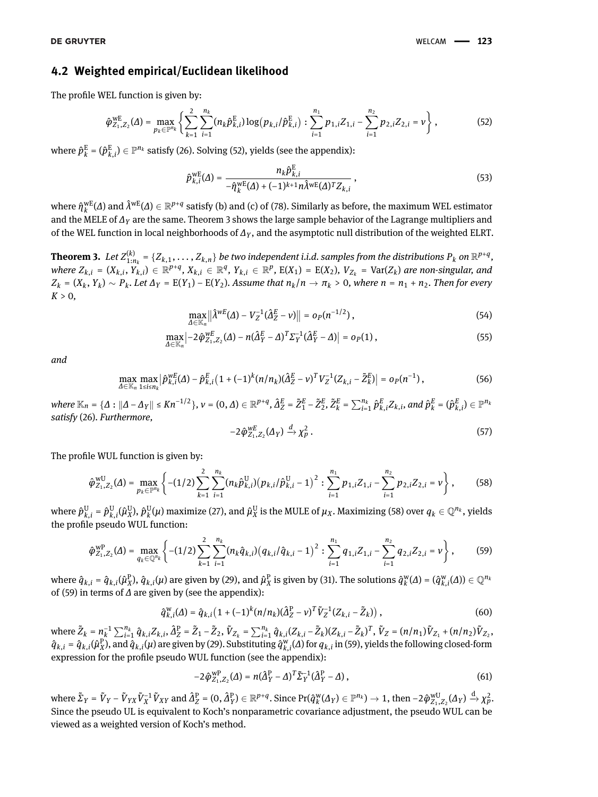### **4.2 Weighted empirical/Euclidean likelihood**

The profile WEL function is given by:

$$
\hat{\varphi}_{Z_1, Z_2}^{\text{WE}}(\Delta) = \max_{p_k \in \mathbb{P}^{n_k}} \left\{ \sum_{k=1}^2 \sum_{i=1}^{n_k} (n_k \hat{p}_{k,i}^{\text{E}}) \log (p_{k,i} / \hat{p}_{k,i}^{\text{E}}) : \sum_{i=1}^{n_1} p_{1,i} Z_{1,i} - \sum_{i=1}^{n_2} p_{2,i} Z_{2,i} = \nu \right\},\tag{52}
$$

where  $\hat{p}^{\rm E}_k$  $\mathbf{f}^{\mathrm{E}}_k = (\hat{\boldsymbol{p}}^{\mathrm{E}}_{k,i}) \in \mathbb{P}^{n_k}$  satisfy [\(26\)](#page-6-5). Solving [\(52\)](#page-10-0), yields (see the appendix):

<span id="page-10-4"></span><span id="page-10-0"></span>
$$
\hat{p}_{k,i}^{\text{WE}}(\Delta) = \frac{n_k \hat{p}_{k,i}^{\text{E}}}{-\hat{\eta}_k^{\text{WE}}(\Delta) + (-1)^{k+1} n \hat{\lambda}^{\text{WE}}(\Delta)^T Z_{k,i}},
$$
\n(53)

where  $\hat{\eta}_k^{\text{wE}}$  $^{\text{wE}}_k(\varDelta)$  and  $\hat{\lambda}^{\text{wE}}(\varDelta)\in\mathbb{R}^{p+q}$  satisfy (b) and (c) of [\(78\)](#page-24-0). Similarly as before, the maximum WEL estimator and the MELE of *∆<sup>Y</sup>* are the same. Theorem [3](#page-10-1) shows the large sample behavior of the Lagrange multipliers and of the WEL function in local neighborhoods of *∆<sup>Y</sup>* , and the asymptotic null distribution of the weighted ELRT.

<span id="page-10-1"></span>**Theorem 3.** Let  $Z_{1:n_k}^{(k)}$  =  $\{Z_{k,1},\ldots,Z_{k,n}\}$  be two independent i.i.d. samples from the distributions  $P_k$  on  $\R^{p+q}$ , where  $Z_{k,i} = (X_{k,i}, Y_{k,i}) \in \mathbb{R}^{p+q}, X_{k,i} \in \mathbb{R}^q, Y_{k,i} \in \mathbb{R}^p$ ,  $E(X_1) = E(X_2)$ ,  $V_{Z_k} = \text{Var}(Z_k)$  are non-singular, and  $Z_k = (X_k, Y_k) \sim P_k$ . Let  $\Delta_Y = E(Y_1) - E(Y_2)$ . Assume that  $n_k/n \to \pi_k > 0$ , where  $n = n_1 + n_2$ . Then for every  $K > 0$ ,

$$
\max_{\Delta \in \mathbb{K}_n} \left\| \hat{\lambda}^{wE}(\Delta) - V_Z^{-1} (\hat{\Delta}_Z^E - \nu) \right\| = o_P(n^{-1/2}), \tag{54}
$$

$$
\max_{\Delta \in \mathbb{K}_n} \left| -2 \hat{\varphi}^{wE}_{Z_1, Z_2}(\Delta) - n (\hat{\Delta}_Y^E - \Delta)^T \Sigma_Y^{-1} (\hat{\Delta}_Y^E - \Delta) \right| = o_P(1) , \qquad (55)
$$

*and*

<span id="page-10-10"></span>
$$
\max_{\Delta \in \mathbb{K}_n} \max_{1 \le i \le n_k} \left| \hat{p}^{WE}_{k,i}(\Delta) - \hat{p}^E_{k,i} \left( 1 + (-1)^k (n/n_k) (\hat{\Delta}^E_Z - v)^T V_Z^{-1} (Z_{k,i} - \tilde{Z}_k^E) \right| = o_P(n^{-1}), \tag{56}
$$

where  $\mathbb{K}_n = \{\Delta : ||\Delta - \Delta_Y|| \leq K n^{-1/2}\}, \nu = (0, \Delta) \in \mathbb{R}^{p+q}, \hat{\Delta}_Z^E = \tilde{Z}_1^E - \tilde{Z}_2^E, \tilde{Z}_k^E = \sum_{i=1}^{n_k} \hat{p}_{k,i}^E Z_{k,i},$  and  $\hat{p}_k^E = (\hat{p}_{k,i}^E) \in \mathbb{P}^{n_k}$ *satisfy* [\(26\)](#page-6-5)*. Furthermore,*

<span id="page-10-9"></span><span id="page-10-8"></span><span id="page-10-7"></span><span id="page-10-2"></span>
$$
-2\hat{\varphi}_{Z_1,Z_2}^{\text{wE}}(\Delta_Y) \xrightarrow{d} \chi^2_p \,. \tag{57}
$$

The profile WUL function is given by:

$$
\hat{\varphi}_{Z_1, Z_2}^{\text{WU}}(\Delta) = \max_{p_k \in \mathbb{P}^{n_k}} \left\{ -(1/2) \sum_{k=1}^2 \sum_{i=1}^{n_k} (n_k \hat{p}_{k,i}^{\text{U}}) (p_{k,i} / \hat{p}_{k,i}^{\text{U}} - 1)^2 : \sum_{i=1}^{n_1} p_{1,i} Z_{1,i} - \sum_{i=1}^{n_2} p_{2,i} Z_{2,i} = \nu \right\},
$$
(58)

where  $\hat{p}^{\text{U}}_{k,i} = \hat{p}^{\text{U}}_{k,i}(\hat{\mu}^{\text{U}}_{X})$  $\hat{p}_k^{\rm U}$ ),  $\hat{p}_k^{\rm U}$  $_{k}^{\text{U}}(\mu)$  maximize [\(27\)](#page-6-1), and  $\hat{\mu}_{X}^{\text{U}}$  $_{X}^{\text{U}}$  is the MULE of  $\mu_{X}$ . Maximizing [\(58\)](#page-10-2) over  $q_{k} \in \mathbb{Q}^{n_{k}}$ , yields the profile pseudo WUL function:

$$
\hat{\varphi}_{Z_1, Z_2}^{\text{WP}}(\varDelta) = \max_{q_k \in \mathbb{Q}^{n_k}} \left\{ -(1/2) \sum_{k=1}^2 \sum_{i=1}^{n_k} (n_k \hat{q}_{k,i}) (q_{k,i} / \hat{q}_{k,i} - 1)^2 : \sum_{i=1}^{n_1} q_{1,i} Z_{1,i} - \sum_{i=1}^{n_2} q_{2,i} Z_{2,i} = \nu \right\},\tag{59}
$$

where  $\hat{q}_{k,i}$  =  $\hat{q}_{k,i}(\hat{\mu}_X^\text{P}),$   $\hat{q}_{k,i}(\mu)$  are given by [\(29\)](#page-6-3), and  $\hat{\mu}_X^\text{P}$  is given by [\(31\)](#page-7-4). The solutions  $\hat{q}_k^\text{w}$  $_k^w(\Delta) = (\hat{q}_{k,i}^w(\Delta)) \in \mathbb{Q}^{n_k}$ of [\(59\)](#page-10-3) in terms of *∆* are given by (see the appendix):

<span id="page-10-5"></span><span id="page-10-3"></span>
$$
\hat{q}_{k,i}^{\mathbf{W}}(\Delta) = \hat{q}_{k,i} \left( 1 + (-1)^k (n/n_k) (\hat{\Delta}_Z^{\mathbf{P}} - \nu)^T \tilde{V}_Z^{-1} (Z_{k,i} - \tilde{Z}_k) \right),\tag{60}
$$

where  $\tilde{Z}_k = n_k^{-1}$  $^{-1}_{k}\sum_{i=1}^{n_{k}}\hat{q}_{k,i}Z_{k,i},\hat{\Delta}_{Z}^{\text{P}}=\tilde{Z}_{1}-\tilde{Z}_{2},\tilde{V}_{Z_{k}}=\sum_{i=1}^{n_{k}}\hat{q}_{k,i}(Z_{k,i}-\tilde{Z}_{k})(Z_{k,i}-\tilde{Z}_{k})^{T},\tilde{V}_{Z}=(n/n_{1})\tilde{V}_{Z_{1}}+(n/n_{2})\tilde{V}_{Z_{2}},$  $\hat{q}_{k,i} = \hat{q}_{k,i}(\hat{\mu}_X^P)$ , and  $\hat{q}_{k,i}(\mu)$  are given by [\(29\)](#page-6-3). Substituting  $\hat{q}_{k,i}^w(\Lambda)$  for  $q_{k,i}$  in [\(59\)](#page-10-3), yields the following closed-form expression for the profile pseudo WUL function (see the appendix):

<span id="page-10-6"></span>
$$
-2\hat{\varphi}_{Z_1,Z_2}^{\text{WP}}(\Delta_Y^{\text{P}} - \Delta)^T \tilde{\Sigma}_Y^{-1} (\hat{\Delta}_Y^{\text{P}} - \Delta) , \qquad (61)
$$

where  $\tilde{\Sigma}_Y = \tilde{V}_Y - \tilde{V}_{YX}\tilde{V}_X^{-1}\tilde{V}_{XY}$  and  $\hat{A}_Z^{\text{P}} = (0, \hat{A}_Y^{\text{P}}) \in \mathbb{R}^{p+q}.$  Since  $\text{Pr}(\hat{q}_k^{\text{w}})$  $\phi_K^w(\Delta_Y) \in \mathbb{P}^{n_k}$ )  $\to 1$ , then  $-2\hat{\varphi}_{Z_1,Z_2}^{wU}(\Delta_Y) \stackrel{d}{\to} \chi_p^2$ . Since the pseudo UL is equivalent to Koch's nonparametric covariance adjustment, the pseudo WUL can be viewed as a weighted version of Koch's method.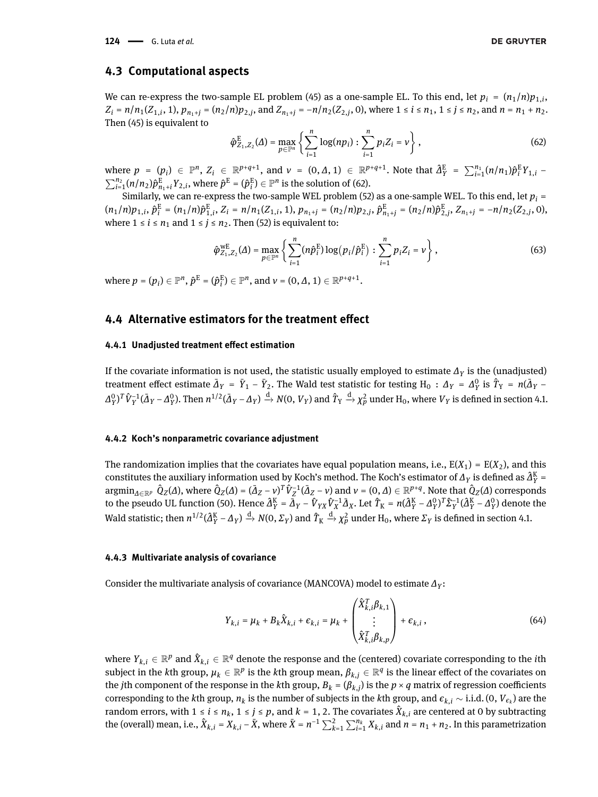### **4.3 Computational aspects**

We can re-express the two-sample EL problem [\(45\)](#page-9-0) as a one-sample EL. To this end, let  $p_i = (n_1/n)p_{1,i}$  $Z_i = n/n_1(Z_{1,i}, 1), p_{n_1+j} = (n_2/n)p_{2,j}$ , and  $Z_{n_1+j} = -n/n_2(Z_{2,j}, 0)$ , where  $1 \le i \le n_1, 1 \le j \le n_2$ , and  $n = n_1 + n_2$ . Then [\(45\)](#page-9-0) is equivalent to

<span id="page-11-1"></span>
$$
\hat{\varphi}_{Z_1, Z_2}^{\mathcal{E}}(\Delta) = \max_{p \in \mathbb{P}^n} \left\{ \sum_{i=1}^n \log(np_i) : \sum_{i=1}^n p_i Z_i = \nu \right\},\tag{62}
$$

where  $p = (p_i) \in \mathbb{P}^n$ ,  $Z_i \in \mathbb{R}^{p+q+1}$ , and  $v = (0, \Delta, 1) \in \mathbb{R}^{p+q+1}$ . Note that  $\hat{\Delta}_Y^{\text{E}} = \sum_{i=1}^{n_1} (n/n_1) \hat{p}_i^{\text{E}} Y_{1,i}$  $\sum_{i=1}^{n_2} (n/n_2) \hat{p}^{\text{E}}_{n_1+i} Y_{2,i}$ , where  $\hat{p}^{\text{E}} = (\hat{p}^{\text{E}}_i)$  $\binom{E}{i} \in \mathbb{P}^n$  is the solution of [\(62\)](#page-11-1).

Similarly, we can re-express the two-sample WEL problem [\(52\)](#page-10-0) as a one-sample WEL. To this end, let  $p_i$  =  $(n_1/n)p_{1,i}, \hat{p}_i^{\text{E}} = (n_1/n)\hat{p}_{1,i}^{\text{E}}, Z_i = n/n_1(Z_{1,i}, 1), p_{n_1+j} = (n_2/n)p_{2,j}, \hat{p}_{n_1+j}^{\text{E}} = (n_2/n)\hat{p}_{2,j}^{\text{E}}, Z_{n_1+j} = -n/n_2(Z_{2,i}, 0),$ where  $1 \le i \le n_1$  and  $1 \le j \le n_2$ . Then [\(52\)](#page-10-0) is equivalent to:

<span id="page-11-3"></span>
$$
\hat{\varphi}_{Z_1, Z_2}^{\text{WE}}(\Delta) = \max_{p \in \mathbb{P}^n} \left\{ \sum_{i=1}^n (n \hat{p}_i^{\text{E}}) \log (p_i / \hat{p}_i^{\text{E}}) : \sum_{i=1}^n p_i Z_i = \nu \right\},\tag{63}
$$

where  $p = (p_i) \in \mathbb{P}^n$ ,  $\hat{p}^{\text{E}} = (\hat{p}^{\text{E}}_i)$  $\mathbf{f}_i^{\mathrm{E}}$ )  $\in \mathbb{P}^n$ , and  $v = (0, \Delta, 1) \in \mathbb{R}^{p+q+1}$ .

# <span id="page-11-0"></span>**4.4 Alternative estimators for the treatment effect**

#### **4.4.1 Unadjusted treatment effect estimation**

If the covariate information is not used, the statistic usually employed to estimate *∆<sup>Y</sup>* is the (unadjusted) treatment effect estimate  $\bar{\Delta}_Y = \bar{Y}_1 - \bar{Y}_2$ . The Wald test statistic for testing  $H_0$  :  $\Delta_Y = \Delta_Y^0$  $\hat{T}_Y$  is  $\hat{T}_Y$  =  $n(\bar{\Delta}_Y -$ *∆* 0  $\hat{V}_Y^{\text{I}}\hat{V}_Y^{-1}(\bar{\Delta}_Y - \Delta_Y^0)$  $_{Y}^{0}$ ). Then  $n^{1/2}(\bar{\Delta}_{Y}-\Delta_{Y})\stackrel{\rm{d}}{\to}N(0,V_{Y})$  and  $\hat{T}_{Y}\stackrel{\rm{d}}{\to}\chi_{p}^{2}$  under  $\rm{H}_{0},$  where  $V_{Y}$  is defined in section [4.1.](#page-8-1)

#### **4.4.2 Koch's nonparametric covariance adjustment**

The randomization implies that the covariates have equal population means, i.e.,  $E(X_1) = E(X_2)$ , and this constitutes the auxiliary information used by Koch's method. The Koch's estimator of  $\Delta_Y$  is defined as  $\hat{\Delta}_Y^K$  =  $\mathop{\rm argmin}_{\Delta \in \mathbb{R}^p} \; \hat{Q}_Z(\Delta)$ , where  $\hat{Q}_Z(\Delta) = (\bar{\Delta}_Z - \nu)^T \hat{V}_Z^{-1} (\bar{\Delta}_Z - \nu)$  and  $\nu = (0,\Delta) \in \mathbb{R}^{p+q}$ . Note that  $\hat{Q}_Z(\Delta)$  corresponds to the pseudo UL function [\(50\)](#page-9-4). Hence  $\hat{A}^K_Y = \bar{A}_Y - \hat{V}_{YX}\hat{V}_X^{-1}\bar{A}_X$ . Let  $\hat{T}_K = n(\hat{A}^K_Y - A^0_Y)$  $(Y^0Y)^T\hat{\Sigma}_Y^{-1}(\hat{\Delta}_Y^K - \Delta_Y^0)$ *Y* ) denote the Wald statistic; then  $n^{1/2}(\hat{A}_Y^K - \Delta_Y) \xrightarrow{d} N(0, \Sigma_Y)$  and  $\hat{T}_K \xrightarrow{d} \chi_p^2$  under  $H_0$ , where  $\Sigma_Y$  is defined in section [4.1.](#page-8-1)

#### **4.4.3 Multivariate analysis of covariance**

Consider the multivariate analysis of covariance (MANCOVA) model to estimate *∆<sup>Y</sup>* :

<span id="page-11-2"></span>
$$
Y_{k,i} = \mu_k + B_k \hat{X}_{k,i} + \epsilon_{k,i} = \mu_k + \begin{pmatrix} \hat{X}_{k,i}^T \beta_{k,1} \\ \vdots \\ \hat{X}_{k,i}^T \beta_{k,p} \end{pmatrix} + \epsilon_{k,i},
$$
(64)

where  $Y_{k,i}\in\mathbb{R}^p$  and  $\hat{X}_{k,i}\in\mathbb{R}^q$  denote the response and the (centered) covariate corresponding to the *i*th  $s$ ubject in the  $k$ th group,  $\mu_k\in\mathbb{R}^p$  is the  $k$ th group mean,  $\beta_{k,j}\in\mathbb{R}^q$  is the linear effect of the covariates on the *j*th component of the response in the *k*th group,  $B_k = (\beta_{k,j})$  is the  $p\times q$  matrix of regression coefficients corresponding to the *k*th group,  $n_k$  is the number of subjects in the *k*th group, and  $\epsilon_{k,i} \sim$  i.i.d. (0,  $V_{\epsilon_k}$ ) are the random errors, with  $1 \le i \le n_k$ ,  $1 \le j \le p$ , and  $k = 1, 2$ . The covariates  $\hat{X}_{k,i}$  are centered at 0 by subtracting the (overall) mean, i.e.,  $\hat{X}_{k,i} = X_{k,i} - \bar{X}$ , where  $\bar{X} = n^{-1} \sum_{k=1}^{2} \sum_{i=1}^{n_k} X_{k,i}$  and  $n = n_1 + n_2$ . In this parametrization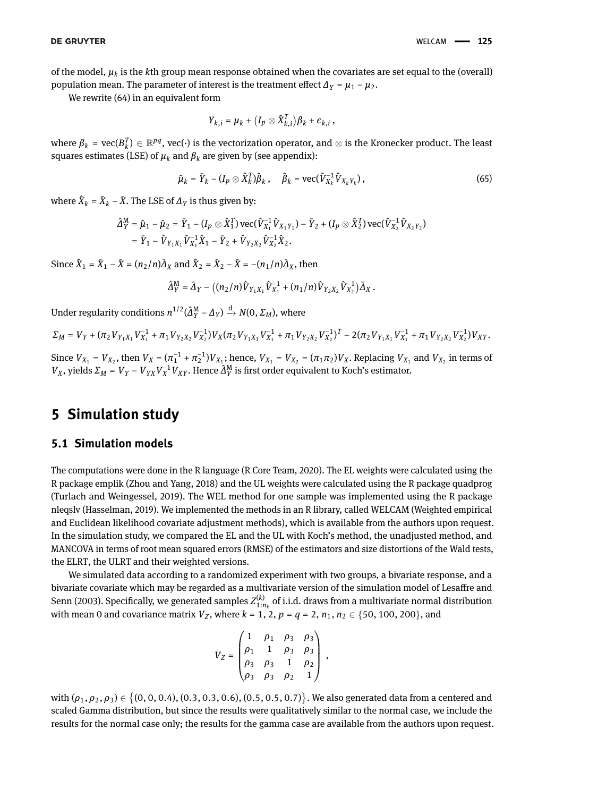of the model,  $\mu_k$  is the  $k$ th group mean response obtained when the covariates are set equal to the (overall) population mean. The parameter of interest is the treatment effect  $\Delta_Y = \mu_1 - \mu_2$ .

We rewrite [\(64\)](#page-11-2) in an equivalent form

<span id="page-12-0"></span>
$$
Y_{k,i} = \mu_k + (I_p \otimes \hat{X}_{k,i}^T)\beta_k + \epsilon_{k,i},
$$

where  $\beta_k$  = vec( $B_k^T) \in \R^{pq}$ , vec( $\cdot$ ) is the vectorization operator, and  $\otimes$  is the Kronecker product. The least squares estimates (LSE) of  $\mu_k$  and  $\beta_k$  are given by (see appendix):

$$
\hat{\mu}_k = \bar{Y}_k - (I_p \otimes \hat{X}_k^T)\hat{\beta}_k, \quad \hat{\beta}_k = \text{vec}(\hat{V}_{X_k}^{-1}\hat{V}_{X_kY_k}), \tag{65}
$$

where  $\hat{X}_k = \bar{X}_k - \bar{X}$ . The LSE of  $\varDelta_Y$  is thus given by:

$$
\begin{split} \hat{\Delta}_{Y}^{\text{M}} &= \hat{\mu}_{1} - \hat{\mu}_{2} = \bar{Y}_{1} - (I_{p} \otimes \hat{X}_{1}^{T}) \, \text{vec}(\hat{V}_{X_{1}}^{-1} \hat{V}_{X_{1}Y_{1}}) - \bar{Y}_{2} + (I_{p} \otimes \hat{X}_{2}^{T}) \, \text{vec}(\hat{V}_{X_{2}}^{-1} \hat{V}_{X_{2}Y_{2}}) \\ &= \bar{Y}_{1} - \hat{V}_{Y_{1}X_{1}} \hat{V}_{X_{1}}^{-1} \hat{X}_{1} - \bar{Y}_{2} + \hat{V}_{Y_{2}X_{2}} \hat{V}_{X_{2}}^{-1} \hat{X}_{2}. \end{split}
$$

Since  $\hat{X}_1 = \bar{X}_1 - \bar{X} = (n_2/n)\bar{\Delta}_X$  and  $\hat{X}_2 = \bar{X}_2 - \bar{X} = -(n_1/n)\bar{\Delta}_X$ , then

$$
\hat{\varDelta}_Y^M = \bar{\varDelta}_Y - \big( (n_2/n) \hat{V}_{Y_1X_1} \hat{V}_{X_1}^{-1} + (n_1/n) \hat{V}_{Y_2X_2} \hat{V}_{X_2}^{-1} \big) \bar{\varDelta}_X \,.
$$

Under regularity conditions  $n^{1/2}(\hat{A}_{Y}^{M} - \Delta_{Y}) \xrightarrow{d} N(0, \Sigma_{M})$ , where

$$
\varSigma_{M}=V_{Y}+(\pi_{2}V_{Y_{1}X_{1}}V_{X_{1}}^{-1}+\pi_{1}V_{Y_{2}X_{2}}V_{X_{2}}^{-1})V_{X}(\pi_{2}V_{Y_{1}X_{1}}V_{X_{1}}^{-1}+\pi_{1}V_{Y_{2}X_{2}}V_{X_{2}}^{-1})^{T}-2(\pi_{2}V_{Y_{1}X_{1}}V_{X_{1}}^{-1}+\pi_{1}V_{Y_{2}X_{2}}V_{X_{2}}^{-1})V_{XY}.
$$

Since  $V_{X_1} = V_{X_2}$ , then  $V_X = (\pi_1^{-1} + \pi_2^{-1})V_{X_1}$ ; hence,  $V_{X_1} = V_{X_2} = (\pi_1 \pi_2)V_X$ . Replacing  $V_{X_1}$  and  $V_{X_2}$  in terms of *V*<sub>*X*</sub>, yields  $\Sigma_M = V_Y - V_{YX}V_X^{-1}V_{XY}$ . Hence  $\hat{\Delta}_Y^M$  is first order equivalent to Koch's estimator.

# **5 Simulation study**

### **5.1 Simulation models**

The computations were done in the R language [\(R Core Team, 2020\)](#page-17-23). The EL weights were calculated using the R package emplik [\(Zhou and Yang, 2018\)](#page-18-10) and the UL weights were calculated using the R package quadprog [\(Turlach and Weingessel, 2019\)](#page-18-11). The WEL method for one sample was implemented using the R package nleqslv [\(Hasselman, 2019\)](#page-17-24). We implemented the methods in an R library, called WELCAM (Weighted empirical and Euclidean likelihood covariate adjustment methods), which is available from the authors upon request. In the simulation study, we compared the EL and the UL with Koch's method, the unadjusted method, and MANCOVA in terms of root mean squared errors (RMSE) of the estimators and size distortions of the Wald tests, the ELRT, the ULRT and their weighted versions.

We simulated data according to a randomized experiment with two groups, a bivariate response, and a bivariate covariate which may be regarded as a multivariate version of the simulation model of [Lesaffre and](#page-17-6) [Senn](#page-17-6) [\(2003\)](#page-17-6). Specifically, we generated samples  $Z_{1:n_k}^{(k)}$  of i.i.d. draws from a multivariate normal distribution with mean 0 and covariance matrix  $V_Z$ , where  $k = 1, 2, p = q = 2, n_1, n_2 \in \{50, 100, 200\}$ , and

$$
V_Z = \begin{pmatrix} 1 & \rho_1 & \rho_3 & \rho_3 \\ \rho_1 & 1 & \rho_3 & \rho_3 \\ \rho_3 & \rho_3 & 1 & \rho_2 \\ \rho_3 & \rho_3 & \rho_2 & 1 \end{pmatrix} ,
$$

with  $(\rho_1, \rho_2, \rho_3) \in \{(0, 0, 0.4), (0.3, 0.3, 0.6), (0.5, 0.5, 0.7)\}$ . We also generated data from a centered and scaled Gamma distribution, but since the results were qualitatively similar to the normal case, we include the results for the normal case only; the results for the gamma case are available from the authors upon request.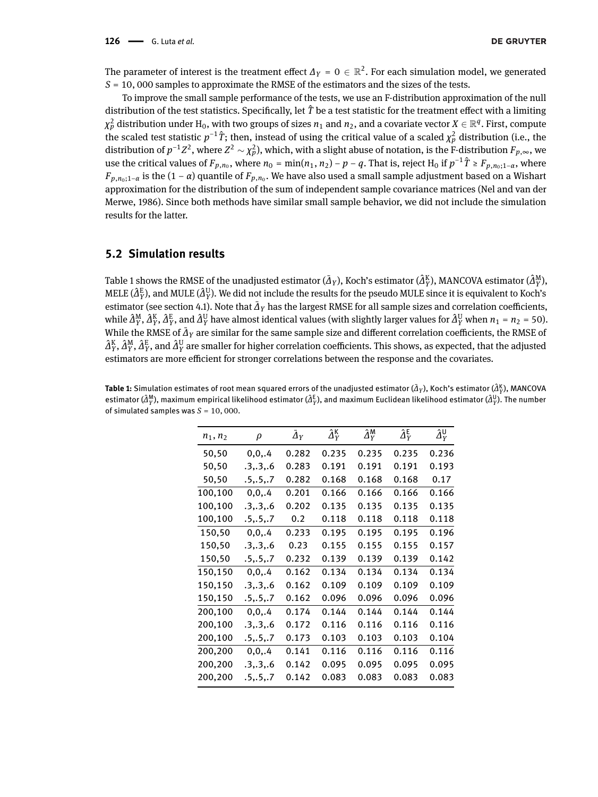The parameter of interest is the treatment effect  $\varDelta_Y$  = 0  $\in$   $\mathbb{R}^2.$  For each simulation model, we generated *S* = 10, 000 samples to approximate the RMSE of the estimators and the sizes of the tests.

To improve the small sample performance of the tests, we use an F-distribution approximation of the null distribution of the test statistics. Specifically, let  $\hat{T}$  be a test statistic for the treatment effect with a limiting  $\chi^2_p$  distribution under  ${\rm H}_0$ , with two groups of sizes  $n_1$  and  $n_2$ , and a covariate vector  $X\in\mathbb{R}^q.$  First, compute the scaled test statistic  $p^{-1}\hat{T}$ ; then, instead of using the critical value of a scaled  $\chi_p^2$  distribution (i.e., the distribution of  $p^{-1}Z^2$  , where  $Z^2\sim\chi^2_p$ ), which, with a slight abuse of notation, is the F-distribution  $F_{p,\infty}$ , we use the critical values of  $F_{p,n_0}$ , where  $n_0 = \min(n_1, n_2) - p - q$ . That is, reject H<sub>0</sub> if  $p^{-1}$   $\hat{T} ≥ F_{p,n_0;1-α}$ , where *Fp*,*n*0;1−*<sup>α</sup>* is the (1 − *α*) quantile of *Fp*,*n*<sup>0</sup> . We have also used a small sample adjustment based on a Wishart approximation for the distribution of the sum of independent sample covariance matrices [\(Nel and van der](#page-17-25) [Merwe, 1986\)](#page-17-25). Since both methods have similar small sample behavior, we did not include the simulation results for the latter.

## **5.2 Simulation results**

Table [1](#page-13-0) shows the RMSE of the unadjusted estimator ( $\bar{\Delta}_Y$ ), Koch's estimator ( $\hat{\Delta}_Y^{\rm K}$ ), MANCOVA estimator ( $\hat{\Delta}_Y^{\rm M}$ ), MELE ( $\hat{A}^{\rm E}_Y$ ), and MULE ( $\hat{A}^{\rm U}_Y$ ). We did not include the results for the pseudo MULE since it is equivalent to Koch's estimator (see section [4.1\)](#page-8-1). Note that  $\bar{\Delta}_Y$  has the largest RMSE for all sample sizes and correlation coefficients, while  $\hat{A}^{\rm M}_Y$ ,  $\hat{A}^{\rm K}_Y$ ,  $\hat{A}^{\rm E}_Y$ , and  $\hat{A}^{\rm U}_Y$  have almost identical values (with slightly larger values for  $\hat{A}^{\rm U}_Y$  when  $n_1$  =  $n_2$  = 50). While the RMSE of  $\bar{\Delta}_Y$  are similar for the same sample size and different correlation coefficients, the RMSE of  $\hat{\Delta}^K_Y$ ,  $\hat{\Delta}^M_Y$ ,  $\hat{\Delta}^E_Y$ , and  $\hat{\Delta}^U_Y$  are smaller for higher correlation coefficients. This shows, as expected, that the adjusted estimators are more efficient for stronger correlations between the response and the covariates.

<span id="page-13-0"></span> ${\sf Table~1:}$  Simulation estimates of root mean squared errors of the unadjusted estimator ( $\bar\Delta_Y$ ), Koch's estimator ( $\hat\Delta_Y^K$ ), MANCOVA estimator ( $\hat{a}^{\mathsf{M}}_Y$ ), maximum empirical likelihood estimator ( $\hat{A}^\text{E}_Y$ ), and maximum Euclidean likelihood estimator ( $\hat{a}^{\mathsf{U}}_Y$ ). The number of simulated samples was  $S = 10,000$ .

| $n_1, n_2$ | ρ          | $\varDelta_Y$    | $\hat{\Delta}_{Y}^{\mathsf{K}}$ | $\hat{\Delta}_{Y}^{\mathsf{M}}$ | $\hat{\Delta}_{Y}^{\mathsf{E}}$ | $\hat{\Delta}_Y^{\textsf{U}}$ |
|------------|------------|------------------|---------------------------------|---------------------------------|---------------------------------|-------------------------------|
| 50,50      | 0, 0, .4   | 0.282            | 0.235                           | 0.235                           | 0.235                           | 0.236                         |
| 50,50      | .3,.3,.6   | 0.283            | 0.191                           | 0.191                           | 0.191                           | 0.193                         |
| 50,50      | .5,.5,.7   | 0.282            | 0.168                           | 0.168                           | 0.168                           | 0.17                          |
| 100,100    | 0, 0, .4   | 0.201            | 0.166                           | 0.166                           | 0.166                           | 0.166                         |
| 100,100    | .3,.3,.6   | 0.202            | 0.135                           | 0.135                           | 0.135                           | 0.135                         |
| 100,100    | .5, .5, .7 | 0.2 <sub>0</sub> | 0.118                           | 0.118                           | 0.118                           | 0.118                         |
| 150,50     | 0.0.4      | 0.233            | 0.195                           | 0.195                           | 0.195                           | 0.196                         |
| 150,50     | .3,.3,.6   | 0.23             | 0.155                           | 0.155                           | 0.155                           | 0.157                         |
| 150,50     | .5,.5,.7   | 0.232            | 0.139                           | 0.139                           | 0.139                           | 0.142                         |
| 150,150    | 0.0.4      | 0.162            | 0.134                           | 0.134                           | 0.134                           | 0.134                         |
| 150,150    | 3, 3, 6    | 0.162            | 0.109                           | 0.109                           | 0.109                           | 0.109                         |
| 150,150    | .5, .5, .7 | 0.162            | 0.096                           | 0.096                           | 0.096                           | 0.096                         |
| 200,100    | 0, 0, .4   | 0.174            | 0.144                           | 0.144                           | 0.144                           | 0.144                         |
| 200,100    | .3,.3,.6   | 0.172            | 0.116                           | 0.116                           | 0.116                           | 0.116                         |
| 200,100    | .5,.5,.7   | 0.173            | 0.103                           | 0.103                           | 0.103                           | 0.104                         |
| 200,200    | 0, 0, .4   | 0.141            | 0.116                           | 0.116                           | 0.116                           | 0.116                         |
| 200,200    | .336       | 0.142            | 0.095                           | 0.095                           | 0.095                           | 0.095                         |
| 200,200    | .5, .5, .7 | 0.142            | 0.083                           | 0.083                           | 0.083                           | 0.083                         |
|            |            |                  |                                 |                                 |                                 |                               |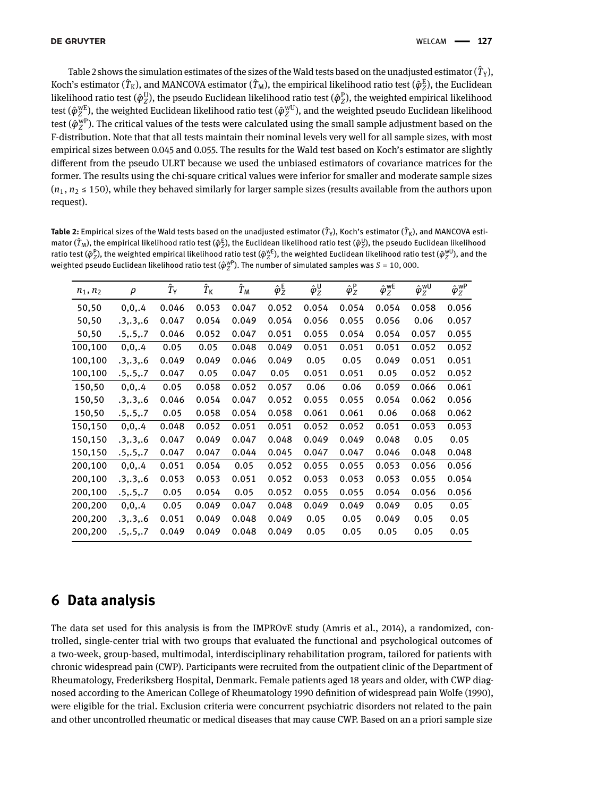Table [2](#page-14-0) shows the simulation estimates of the sizes of the Wald tests based on the unadjusted estimator (  $\hat T_{\rm Y}$  ), Koch's estimator ( $\hat T_{\rm K}$ ), and MANCOVA estimator ( $\hat T_{\rm M}$ ), the empirical likelihood ratio test ( $\hat\varphi^{\rm E}_Z$ ), the Euclidean likelihood ratio test ( $\hat{\varphi}_Z^{\rm U}$ *Z* ), the pseudo Euclidean likelihood ratio test (*φ*^ P *Z* ), the weighted empirical likelihood test ( $\hat{\varphi}_Z^{\text{wE}}$ *Z* ), the weighted Euclidean likelihood ratio test (*φ*^ wU  $\chi^{\rm wU}_{Z}$ ), and the weighted pseudo Euclidean likelihood test  $(\overline{\hat{\varphi}}_Z^{\overline{\text{w}}\text{P}})$  $\rm_{Z}^{\rm wp}$ ). The critical values of the tests were calculated using the small sample adjustment based on the F-distribution. Note that that all tests maintain their nominal levels very well for all sample sizes, with most empirical sizes between 0.045 and 0.055. The results for the Wald test based on Koch's estimator are slightly different from the pseudo ULRT because we used the unbiased estimators of covariance matrices for the former. The results using the chi-square critical values were inferior for smaller and moderate sample sizes  $(n_1, n_2 \le 150)$ , while they behaved similarly for larger sample sizes (results available from the authors upon request).

<span id="page-14-0"></span>**Table 2:** Empirical sizes of the Wald tests based on the unadjusted estimator ( $\hat T$ y), Koch's estimator ( $\hat T$ <sub>K</sub>), and MANCOVA estimator ( $\hat T$ <sub>M</sub>), the empirical likelihood ratio test ( $\hat\varphi_Z^E$ ), the Euclidean likelihood ratio test ( $\hat\varphi_Z^U$ ), the pseudo Euclidean likelihood ratio test ( $\hat{\varphi}_Z^{\rm p}$ ), the weighted empirical likelihood ratio test ( $\hat{\varphi}_Z^{\rm wE}$ ), the weighted Euclidean likelihood ratio test ( $\hat{\varphi}_Z^{\rm wU}$ ), and the weighted pseudo Euclidean likelihood ratio test ( $\hat{\varphi}^{\text{wp}}_Z$ ). The number of simulated samples was  $S$  = 10, 000.

| $n_1, n_2$ | $\rho$     | $\hat T_{\mathsf Y}$ | $\hat T_{\mathsf K}$ | ${\hat T}_{\sf M}$ | $\hat{\varphi}_Z^{\mathsf{E}}$ | $\hat{\varphi}_Z^{\sf U}$ | $\hat{\varphi}_Z^{\mathsf{P}}$ | $\hat{\varphi}_Z^{\text{wE}}$ | $\hat{\varphi}_Z^{\text{wU}}$ | $\hat{\varphi}_Z^{\text{WP}}$ |
|------------|------------|----------------------|----------------------|--------------------|--------------------------------|---------------------------|--------------------------------|-------------------------------|-------------------------------|-------------------------------|
| 50,50      | 0, 0, .4   | 0.046                | 0.053                | 0.047              | 0.052                          | 0.054                     | 0.054                          | 0.054                         | 0.058                         | 0.056                         |
| 50,50      | .3, .3, .6 | 0.047                | 0.054                | 0.049              | 0.054                          | 0.056                     | 0.055                          | 0.056                         | 0.06                          | 0.057                         |
| 50,50      | .5, .5, .7 | 0.046                | 0.052                | 0.047              | 0.051                          | 0.055                     | 0.054                          | 0.054                         | 0.057                         | 0.055                         |
| 100,100    | 0, 0, .4   | 0.05                 | 0.05                 | 0.048              | 0.049                          | 0.051                     | 0.051                          | 0.051                         | 0.052                         | 0.052                         |
| 100,100    | .3, .3, .6 | 0.049                | 0.049                | 0.046              | 0.049                          | 0.05                      | 0.05                           | 0.049                         | 0.051                         | 0.051                         |
| 100,100    | .5, .5, .7 | 0.047                | 0.05                 | 0.047              | 0.05                           | 0.051                     | 0.051                          | 0.05                          | 0.052                         | 0.052                         |
| 150,50     | 0, 0, .4   | 0.05                 | 0.058                | 0.052              | 0.057                          | 0.06                      | 0.06                           | 0.059                         | 0.066                         | 0.061                         |
| 150,50     | .3, .3, .6 | 0.046                | 0.054                | 0.047              | 0.052                          | 0.055                     | 0.055                          | 0.054                         | 0.062                         | 0.056                         |
| 150,50     | .5, .5, .7 | 0.05                 | 0.058                | 0.054              | 0.058                          | 0.061                     | 0.061                          | 0.06                          | 0.068                         | 0.062                         |
| 150,150    | 0, 0, .4   | 0.048                | 0.052                | 0.051              | 0.051                          | 0.052                     | 0.052                          | 0.051                         | 0.053                         | 0.053                         |
| 150,150    | .3, .3, .6 | 0.047                | 0.049                | 0.047              | 0.048                          | 0.049                     | 0.049                          | 0.048                         | 0.05                          | 0.05                          |
| 150,150    | .5, .5, .7 | 0.047                | 0.047                | 0.044              | 0.045                          | 0.047                     | 0.047                          | 0.046                         | 0.048                         | 0.048                         |
| 200,100    | 0, 0, .4   | 0.051                | 0.054                | 0.05               | 0.052                          | 0.055                     | 0.055                          | 0.053                         | 0.056                         | 0.056                         |
| 200,100    | .3, .3, .6 | 0.053                | 0.053                | 0.051              | 0.052                          | 0.053                     | 0.053                          | 0.053                         | 0.055                         | 0.054                         |
| 200,100    | .5, .5, .7 | 0.05                 | 0.054                | 0.05               | 0.052                          | 0.055                     | 0.055                          | 0.054                         | 0.056                         | 0.056                         |
| 200,200    | 0, 0, .4   | 0.05                 | 0.049                | 0.047              | 0.048                          | 0.049                     | 0.049                          | 0.049                         | 0.05                          | 0.05                          |
| 200,200    | .3, .3, .6 | 0.051                | 0.049                | 0.048              | 0.049                          | 0.05                      | 0.05                           | 0.049                         | 0.05                          | 0.05                          |
| 200,200    | .5, .5, .7 | 0.049                | 0.049                | 0.048              | 0.049                          | 0.05                      | 0.05                           | 0.05                          | 0.05                          | 0.05                          |
|            |            |                      |                      |                    |                                |                           |                                |                               |                               |                               |

# **6 Data analysis**

The data set used for this analysis is from the IMPROvE study [\(Amris et al., 2014\)](#page-16-4), a randomized, controlled, single-center trial with two groups that evaluated the functional and psychological outcomes of a two-week, group-based, multimodal, interdisciplinary rehabilitation program, tailored for patients with chronic widespread pain (CWP). Participants were recruited from the outpatient clinic of the Department of Rheumatology, Frederiksberg Hospital, Denmark. Female patients aged 18 years and older, with CWP diagnosed according to the American College of Rheumatology 1990 definition of widespread pain [Wolfe](#page-18-12) [\(1990\)](#page-18-12), were eligible for the trial. Exclusion criteria were concurrent psychiatric disorders not related to the pain and other uncontrolled rheumatic or medical diseases that may cause CWP. Based on an a priori sample size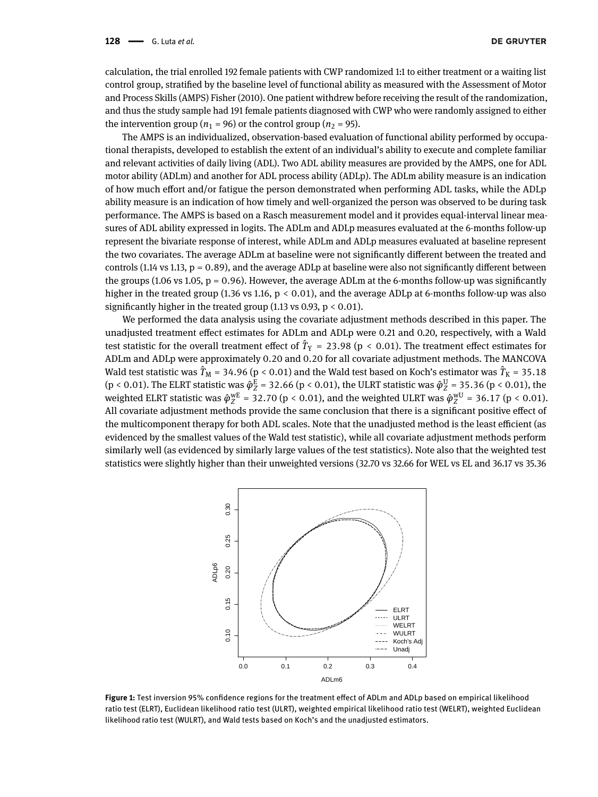calculation, the trial enrolled 192 female patients with CWP randomized 1:1 to either treatment or a waiting list control group, stratified by the baseline level of functional ability as measured with the Assessment of Motor and Process Skills (AMPS) [Fisher](#page-17-26) [\(2010\)](#page-17-26). One patient withdrew before receiving the result of the randomization, and thus the study sample had 191 female patients diagnosed with CWP who were randomly assigned to either the intervention group ( $n_1$  = 96) or the control group ( $n_2$  = 95).

The AMPS is an individualized, observation-based evaluation of functional ability performed by occupational therapists, developed to establish the extent of an individual's ability to execute and complete familiar and relevant activities of daily living (ADL). Two ADL ability measures are provided by the AMPS, one for ADL motor ability (ADLm) and another for ADL process ability (ADLp). The ADLm ability measure is an indication of how much effort and/or fatigue the person demonstrated when performing ADL tasks, while the ADLp ability measure is an indication of how timely and well-organized the person was observed to be during task performance. The AMPS is based on a Rasch measurement model and it provides equal-interval linear measures of ADL ability expressed in logits. The ADLm and ADLp measures evaluated at the 6-months follow-up represent the bivariate response of interest, while ADLm and ADLp measures evaluated at baseline represent the two covariates. The average ADLm at baseline were not significantly different between the treated and controls (1.14 vs 1.13,  $p = 0.89$ ), and the average ADLp at baseline were also not significantly different between the groups (1.06 vs 1.05,  $p = 0.96$ ). However, the average ADLm at the 6-months follow-up was significantly higher in the treated group (1.36 vs 1.16,  $p < 0.01$ ), and the average ADLp at 6-months follow-up was also significantly higher in the treated group (1.13 vs 0.93,  $p < 0.01$ ).

We performed the data analysis using the covariate adjustment methods described in this paper. The unadjusted treatment effect estimates for ADLm and ADLp were 0.21 and 0.20, respectively, with a Wald test statistic for the overall treatment effect of  $\hat{T}_Y$  = 23.98 (p < 0.01). The treatment effect estimates for ADLm and ADLp were approximately 0.20 and 0.20 for all covariate adjustment methods. The MANCOVA Wald test statistic was  $\hat{T}_{\rm M}$  = 34.96 (p < 0.01) and the Wald test based on Koch's estimator was  $\hat{T}_{\rm K}$  = 35.18 (p < 0.01). The ELRT statistic was  $\hat{\varphi}_Z^E$  = 32.66 (p < 0.01), the ULRT statistic was  $\hat{\varphi}_Z^U$  = 35.36 (p < 0.01), the weighted ELRT statistic was  $\hat{\varphi}_Z^{\text{wE}}$  = 32.70 (p < 0.01), and the weighted ULRT was  $\hat{\varphi}_Z^{\text{wU}}$  = 36.17 (p < 0.01). All covariate adjustment methods provide the same conclusion that there is a significant positive effect of the multicomponent therapy for both ADL scales. Note that the unadjusted method is the least efficient (as evidenced by the smallest values of the Wald test statistic), while all covariate adjustment methods perform similarly well (as evidenced by similarly large values of the test statistics). Note also that the weighted test statistics were slightly higher than their unweighted versions (32.70 vs 32.66 for WEL vs EL and 36.17 vs 35.36

<span id="page-15-0"></span>

**Figure 1:** Test inversion 95% confidence regions for the treatment effect of ADLm and ADLp based on empirical likelihood ratio test (ELRT), Euclidean likelihood ratio test (ULRT), weighted empirical likelihood ratio test (WELRT), weighted Euclidean likelihood ratio test (WULRT), and Wald tests based on Koch's and the unadjusted estimators.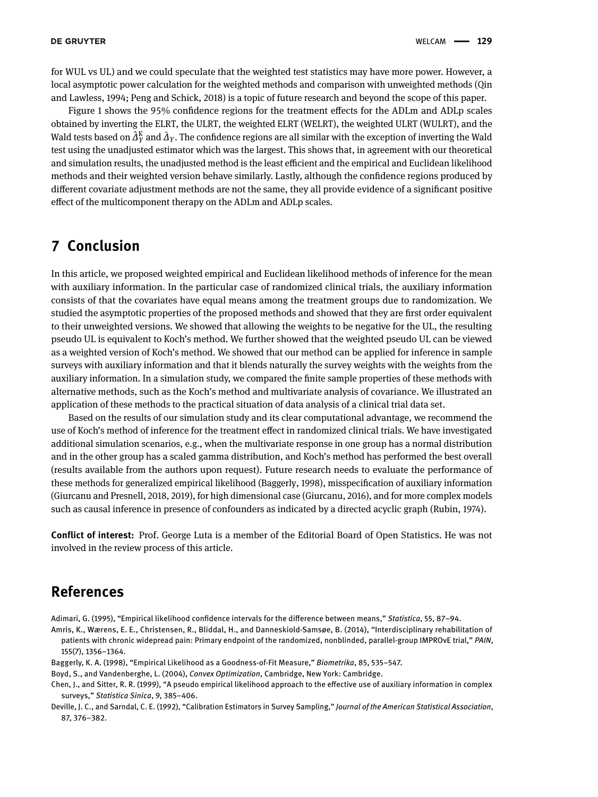for WUL vs UL) and we could speculate that the weighted test statistics may have more power. However, a local asymptotic power calculation for the weighted methods and comparison with unweighted methods [\(Qin](#page-17-22) [and Lawless, 1994;](#page-17-22) [Peng and Schick, 2018\)](#page-17-27) is a topic of future research and beyond the scope of this paper.

Figure [1](#page-15-0) shows the 95% confidence regions for the treatment effects for the ADLm and ADLp scales obtained by inverting the ELRT, the ULRT, the weighted ELRT (WELRT), the weighted ULRT (WULRT), and the Wald tests based on  $\hat{A}_Y^K$  and  $\bar{A}_Y$ . The confidence regions are all similar with the exception of inverting the Wald test using the unadjusted estimator which was the largest. This shows that, in agreement with our theoretical and simulation results, the unadjusted method is the least efficient and the empirical and Euclidean likelihood methods and their weighted version behave similarly. Lastly, although the confidence regions produced by different covariate adjustment methods are not the same, they all provide evidence of a significant positive effect of the multicomponent therapy on the ADLm and ADLp scales.

# **7 Conclusion**

In this article, we proposed weighted empirical and Euclidean likelihood methods of inference for the mean with auxiliary information. In the particular case of randomized clinical trials, the auxiliary information consists of that the covariates have equal means among the treatment groups due to randomization. We studied the asymptotic properties of the proposed methods and showed that they are first order equivalent to their unweighted versions. We showed that allowing the weights to be negative for the UL, the resulting pseudo UL is equivalent to Koch's method. We further showed that the weighted pseudo UL can be viewed as a weighted version of Koch's method. We showed that our method can be applied for inference in sample surveys with auxiliary information and that it blends naturally the survey weights with the weights from the auxiliary information. In a simulation study, we compared the finite sample properties of these methods with alternative methods, such as the Koch's method and multivariate analysis of covariance. We illustrated an application of these methods to the practical situation of data analysis of a clinical trial data set.

Based on the results of our simulation study and its clear computational advantage, we recommend the use of Koch's method of inference for the treatment effect in randomized clinical trials. We have investigated additional simulation scenarios, e.g., when the multivariate response in one group has a normal distribution and in the other group has a scaled gamma distribution, and Koch's method has performed the best overall (results available from the authors upon request). Future research needs to evaluate the performance of these methods for generalized empirical likelihood [\(Baggerly, 1998\)](#page-16-5), misspecification of auxiliary information [\(Giurcanu and Presnell, 2018,](#page-17-28) [2019\)](#page-17-29), for high dimensional case [\(Giurcanu, 2016\)](#page-17-30), and for more complex models such as causal inference in presence of confounders as indicated by a directed acyclic graph [\(Rubin, 1974\)](#page-17-31).

**Conflict of interest:** Prof. George Luta is a member of the Editorial Board of Open Statistics. He was not involved in the review process of this article.

# **References**

<span id="page-16-1"></span>Adimari, G. (1995), "Empirical likelihood confidence intervals for the difference between means," *Statistica*, 55, 87–94.

- <span id="page-16-4"></span>Amris, K., Wærens, E. E., Christensen, R., Bliddal, H., and Danneskiold-Samsøe, B. (2014), "Interdisciplinary rehabilitation of patients with chronic widepread pain: Primary endpoint of the randomized, nonblinded, parallel-group IMPROvE trial," *PAIN*, 155(7), 1356–1364.
- <span id="page-16-5"></span>Baggerly, K. A. (1998), "Empirical Likelihood as a Goodness-of-Fit Measure," *Biometrika*, 85, 535–547.
- <span id="page-16-3"></span>Boyd, S., and Vandenberghe, L. (2004), *Convex Optimization*, Cambridge, New York: Cambridge.
- <span id="page-16-2"></span>Chen, J., and Sitter, R. R. (1999), "A pseudo empirical likelihood approach to the effective use of auxiliary information in complex surveys," *Statistica Sinica*, 9, 385–406.
- <span id="page-16-0"></span>Deville, J. C., and Sarndal, C. E. (1992), "Calibration Estimators in Survey Sampling," *Journal of the American Statistical Association*, 87, 376–382.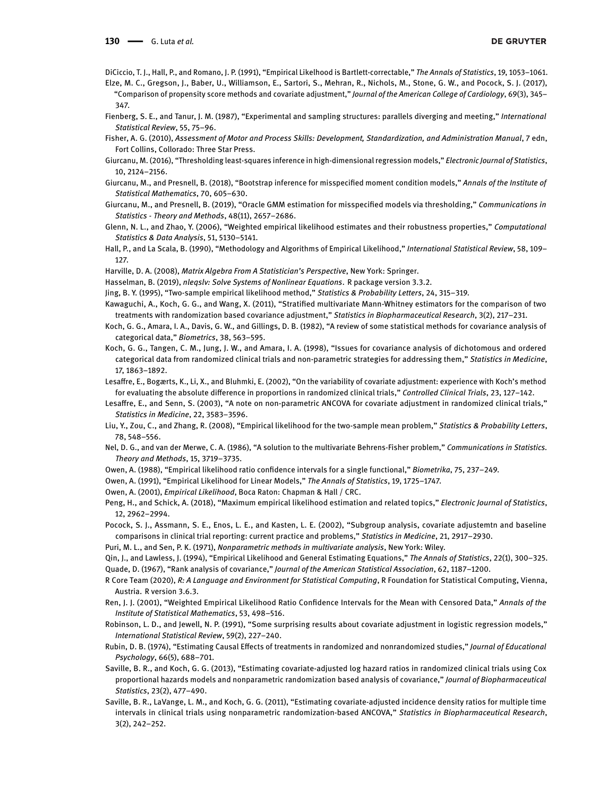<span id="page-17-19"></span><span id="page-17-9"></span>DiCiccio, T. J., Hall, P., and Romano, J. P. (1991), "Empirical Likelhood is Bartlett-correctable," *The Annals of Statistics*, 19, 1053–1061. Elze, M. C., Gregson, J., Baber, U., Williamson, E., Sartori, S., Mehran, R., Nichols, M., Stone, G. W., and Pocock, S. J. (2017),

"Comparison of propensity score methods and covariate adjustment," *Journal of the American College of Cardiology*, 69(3), 345– 347.

- <span id="page-17-3"></span>Fienberg, S. E., and Tanur, J. M. (1987), "Experimental and sampling structures: parallels diverging and meeting," *International Statistical Review*, 55, 75–96.
- <span id="page-17-26"></span>Fisher, A. G. (2010), *Assessment of Motor and Process Skills: Development, Standardization, and Administration Manual*, 7 edn, Fort Collins, Collorado: Three Star Press.
- <span id="page-17-30"></span>Giurcanu, M. (2016), "Thresholding least-squares inference in high-dimensional regression models," *Electronic Journal of Statistics*, 10, 2124–2156.
- <span id="page-17-28"></span>Giurcanu, M., and Presnell, B. (2018), "Bootstrap inference for misspecified moment condition models," *Annals of the Institute of Statistical Mathematics*, 70, 605–630.
- <span id="page-17-29"></span>Giurcanu, M., and Presnell, B. (2019), "Oracle GMM estimation for misspecified models via thresholding," *Communications in Statistics - Theory and Methods*, 48(11), 2657–2686.
- <span id="page-17-14"></span>Glenn, N. L., and Zhao, Y. (2006), "Weighted empirical likelihood estimates and their robustness properties," *Computational Statistics & Data Analysis*, 51, 5130–5141.
- <span id="page-17-8"></span>Hall, P., and La Scala, B. (1990), "Methodology and Algorithms of Empirical Likelihood," *International Statistical Review*, 58, 109– 127.
- <span id="page-17-32"></span>Harville, D. A. (2008), *Matrix Algebra From A Statistician's Perspective*, New York: Springer.

<span id="page-17-24"></span>Hasselman, B. (2019), *nleqslv: Solve Systems of Nonlinear Equations*. R package version 3.3.2.

- <span id="page-17-17"></span><span id="page-17-10"></span>Jing, B. Y. (1995), "Two-sample empirical likelihood method," *Statistics & Probability Letters*, 24, 315–319.
- Kawaguchi, A., Koch, G. G., and Wang, X. (2011), "Stratified multivariate Mann-Whitney estimators for the comparison of two treatments with randomization based covariance adjustment," *Statistics in Biopharmaceutical Research*, 3(2), 217–231.
- <span id="page-17-2"></span>Koch, G. G., Amara, I. A., Davis, G. W., and Gillings, D. B. (1982), "A review of some statistical methods for covariance analysis of categorical data," *Biometrics*, 38, 563–595.
- <span id="page-17-4"></span>Koch, G. G., Tangen, C. M., Jung, J. W., and Amara, I. A. (1998), "Issues for covariance analysis of dichotomous and ordered categorical data from randomized clinical trials and non-parametric strategies for addressing them," *Statistics in Medicine*, 17, 1863–1892.
- <span id="page-17-5"></span>Lesaffre, E., Bogærts, K., Li, X., and Bluhmki, E. (2002), "On the variability of covariate adjustment: experience with Koch's method for evaluating the absolute difference in proportions in randomized clinical trials," *Controlled Clinical Trials*, 23, 127–142.
- <span id="page-17-6"></span>Lesaffre, E., and Senn, S. (2003), "A note on non-parametric ANCOVA for covariate adjustment in randomized clinical trials," *Statistics in Medicine*, 22, 3583–3596.
- <span id="page-17-11"></span>Liu, Y., Zou, C., and Zhang, R. (2008), "Empirical likelihood for the two-sample mean problem," *Statistics & Probability Letters*, 78, 548–556.
- <span id="page-17-25"></span>Nel, D. G., and van der Merwe, C. A. (1986), "A solution to the multivariate Behrens-Fisher problem," *Communications in Statistics. Theory and Methods*, 15, 3719–3735.
- <span id="page-17-7"></span>Owen, A. (1988), "Empirical likelihood ratio confidence intervals for a single functional," *Biometrika*, 75, 237–249.
- <span id="page-17-12"></span>Owen, A. (1991), "Empirical Likelihood for Linear Models," *The Annals of Statistics*, 19, 1725–1747.
- <span id="page-17-15"></span>Owen, A. (2001), *Empirical Likelihood*, Boca Raton: Chapman & Hall / CRC.
- <span id="page-17-27"></span>Peng, H., and Schick, A. (2018), "Maximum empirical likelihood estimation and related topics," *Electronic Journal of Statistics*, 12, 2962–2994.
- <span id="page-17-20"></span>Pocock, S. J., Assmann, S. E., Enos, L. E., and Kasten, L. E. (2002), "Subgroup analysis, covariate adjustemtn and baseline comparisons in clinical trial reporting: current practice and problems," *Statistics in Medicine*, 21, 2917–2930.
- <span id="page-17-1"></span>Puri, M. L., and Sen, P. K. (1971), *Nonparametric methods in multivariate analysis*, New York: Wiley.
- <span id="page-17-22"></span><span id="page-17-0"></span>Qin, J., and Lawless, J. (1994), "Empirical Likelihood and General Estimating Equations," *The Annals of Statistics*, 22(1), 300–325. Quade, D. (1967), "Rank analysis of covariance," *Journal of the American Statistical Association*, 62, 1187–1200.
- <span id="page-17-23"></span>R Core Team (2020), *R: A Language and Environment for Statistical Computing*, R Foundation for Statistical Computing, Vienna, Austria. R version 3.6.3.
- <span id="page-17-13"></span>Ren, J. J. (2001), "Weighted Empirical Likelihood Ratio Confidence Intervals for the Mean with Censored Data," *Annals of the Institute of Statistical Mathematics*, 53, 498–516.
- <span id="page-17-21"></span>Robinson, L. D., and Jewell, N. P. (1991), "Some surprising results about covariate adjustment in logistic regression models," *International Statistical Review*, 59(2), 227–240.
- <span id="page-17-31"></span>Rubin, D. B. (1974), "Estimating Causal Effects of treatments in randomized and nonrandomized studies," *Journal of Educational Psychology*, 66(5), 688–701.
- <span id="page-17-18"></span>Saville, B. R., and Koch, G. G. (2013), "Estimating covariate-adjusted log hazard ratios in randomized clinical trials using Cox proportional hazards models and nonparametric randomization based analysis of covariance," *Journal of Biopharmaceutical Statistics*, 23(2), 477–490.
- <span id="page-17-16"></span>Saville, B. R., LaVange, L. M., and Koch, G. G. (2011), "Estimating covariate-adjusted incidence density ratios for multiple time intervals in clinical trials using nonparametric randomization-based ANCOVA," *Statistics in Biopharmaceutical Research*, 3(2), 242–252.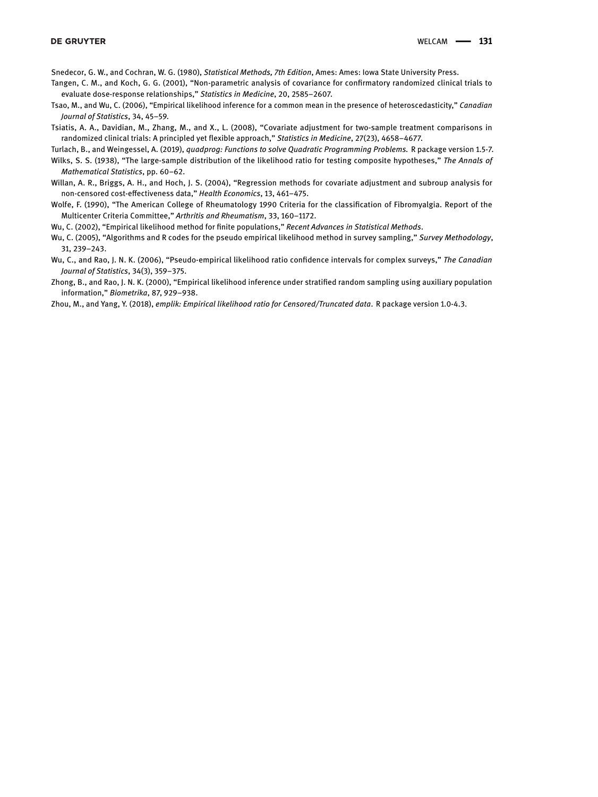<span id="page-18-0"></span>Snedecor, G. W., and Cochran, W. G. (1980), *Statistical Methods, 7th Edition*, Ames: Ames: Iowa State University Press.

<span id="page-18-1"></span>Tangen, C. M., and Koch, G. G. (2001), "Non-parametric analysis of covariance for confirmatory randomized clinical trials to evaluate dose-response relationships," *Statistics in Medicine*, 20, 2585–2607.

<span id="page-18-2"></span>Tsao, M., and Wu, C. (2006), "Empirical likelihood inference for a common mean in the presence of heteroscedasticity," *Canadian Journal of Statistics*, 34, 45–59.

<span id="page-18-7"></span>Tsiatis, A. A., Davidian, M., Zhang, M., and X., L. (2008), "Covariate adjustment for two-sample treatment comparisons in randomized clinical trials: A principled yet flexible approach," *Statistics in Medicine*, 27(23), 4658–4677.

<span id="page-18-11"></span>Turlach, B., and Weingessel, A. (2019), *quadprog: Functions to solve Quadratic Programming Problems.* R package version 1.5-7.

- <span id="page-18-8"></span>Wilks, S. S. (1938), "The large-sample distribution of the likelihood ratio for testing composite hypotheses," *The Annals of Mathematical Statistics*, pp. 60–62.
- <span id="page-18-6"></span>Willan, A. R., Briggs, A. H., and Hoch, J. S. (2004), "Regression methods for covariate adjustment and subroup analysis for non-censored cost-effectiveness data," *Health Economics*, 13, 461–475.
- <span id="page-18-12"></span>Wolfe, F. (1990), "The American College of Rheumatology 1990 Criteria for the classification of Fibromyalgia. Report of the Multicenter Criteria Committee," *Arthritis and Rheumatism*, 33, 160–1172.

<span id="page-18-3"></span>Wu, C. (2002), "Empirical likelihood method for finite populations," *Recent Advances in Statistical Methods*.

- <span id="page-18-9"></span>Wu, C. (2005), "Algorithms and R codes for the pseudo empirical likelihood method in survey sampling," *Survey Methodology*, 31, 239–243.
- <span id="page-18-4"></span>Wu, C., and Rao, J. N. K. (2006), "Pseudo-empirical likelihood ratio confidence intervals for complex surveys," *The Canadian Journal of Statistics*, 34(3), 359–375.
- <span id="page-18-5"></span>Zhong, B., and Rao, J. N. K. (2000), "Empirical likelihood inference under stratified random sampling using auxiliary population information," *Biometrika*, 87, 929–938.
- <span id="page-18-10"></span>Zhou, M., and Yang, Y. (2018), *emplik: Empirical likelihood ratio for Censored/Truncated data*. R package version 1.0-4.3.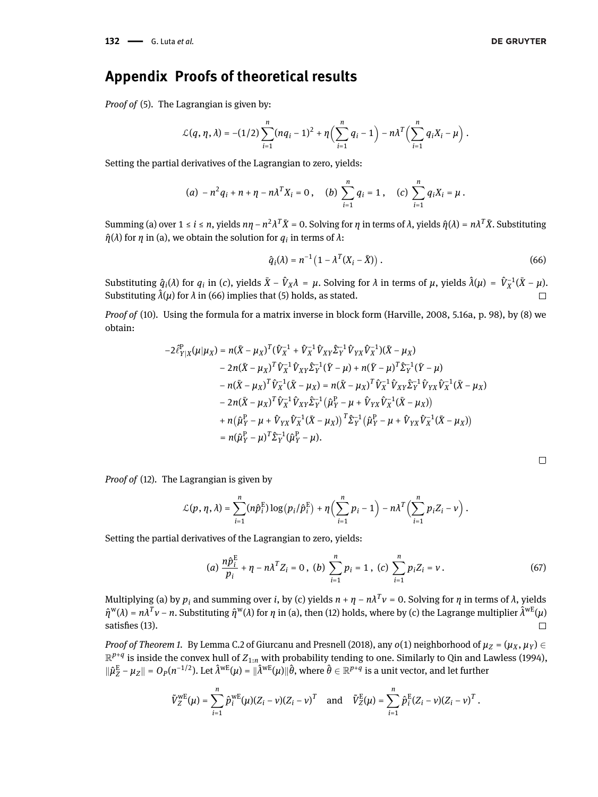# **Appendix Proofs of theoretical results**

*Proof of* [\(5\)](#page-2-3)*.* The Lagrangian is given by:

$$
\mathcal{L}(q,\eta,\lambda) = -(1/2)\sum_{i=1}^n (nq_i-1)^2 + \eta \left( \sum_{i=1}^n q_i - 1 \right) - n\lambda^T \left( \sum_{i=1}^n q_i X_i - \mu \right).
$$

Setting the partial derivatives of the Lagrangian to zero, yields:

$$
(a) - n^2 q_i + n + \eta - n \lambda^T X_i = 0, \quad (b) \sum_{i=1}^n q_i = 1, \quad (c) \sum_{i=1}^n q_i X_i = \mu.
$$

 $Summing (a) over 1 ≤ *i* ≤ *n*, yields  $n\eta - n^2\lambda^T\bar{X} = 0$ . Solving for  $\eta$  in terms of  $\lambda$ , yields  $\hat{\eta}(\lambda) = n\lambda^T\bar{X}$ . Substituting$  $\hat{\eta}(\lambda)$  for *η* in (a), we obtain the solution for  $q_i$  in terms of  $\lambda$ :

<span id="page-19-0"></span>
$$
\hat{q}_i(\lambda) = n^{-1} \left( 1 - \lambda^T (X_i - \bar{X}) \right). \tag{66}
$$

Substituting  $\hat{q}_i(\lambda)$  for  $q_i$  in (c), yields  $\bar{X}-\hat{V}_X\lambda = \mu$ . Solving for  $\lambda$  in terms of  $\mu$ , yields  $\hat{\lambda}(\mu) = \hat{V}_X^{-1}(\bar{X}-\mu)$ . Substituting  $\hat{\lambda}(\mu)$  for  $\lambda$  in [\(66\)](#page-19-0) implies that [\(5\)](#page-2-3) holds, as stated.  $\Box$ 

*Proof of* [\(10\)](#page-4-2)*.* Using the formula for a matrix inverse in block form [\(Harville, 2008,](#page-17-32) 5.16a, p. 98), by [\(8\)](#page-3-1) we obtain:

$$
-2\hat{\ell}_{Y|X}^{P}(\mu|\mu_{X}) = n(\bar{X} - \mu_{X})^{T}(\hat{V}_{X}^{-1} + \hat{V}_{X}^{-1}\hat{V}_{XY}\hat{\Sigma}_{Y}^{-1}\hat{V}_{YX}\hat{V}_{X}^{-1})(\bar{X} - \mu_{X})
$$
  
\n
$$
-2n(\bar{X} - \mu_{X})^{T}\hat{V}_{X}^{-1}\hat{V}_{XY}\hat{\Sigma}_{Y}^{-1}(\bar{Y} - \mu) + n(\bar{Y} - \mu)^{T}\hat{\Sigma}_{Y}^{-1}(\bar{Y} - \mu)
$$
  
\n
$$
-n(\bar{X} - \mu_{X})^{T}\hat{V}_{X}^{-1}(\bar{X} - \mu_{X}) = n(\bar{X} - \mu_{X})^{T}\hat{V}_{X}^{-1}\hat{V}_{XY}\hat{\Sigma}_{Y}^{-1}\hat{V}_{YX}\hat{V}_{X}^{-1}(\bar{X} - \mu_{X})
$$
  
\n
$$
-2n(\bar{X} - \mu_{X})^{T}\hat{V}_{X}^{-1}\hat{V}_{XY}\hat{\Sigma}_{Y}^{-1}(\hat{\mu}_{Y}^{P} - \mu + \hat{V}_{YX}\hat{V}_{X}^{-1}(\bar{X} - \mu_{X}))
$$
  
\n
$$
+ n(\hat{\mu}_{Y}^{P} - \mu + \hat{V}_{YX}\hat{V}_{X}^{-1}(\bar{X} - \mu_{X}))^{T}\hat{\Sigma}_{Y}^{-1}(\hat{\mu}_{Y}^{P} - \mu + \hat{V}_{YX}\hat{V}_{X}^{-1}(\bar{X} - \mu_{X}))
$$
  
\n
$$
= n(\hat{\mu}_{Y}^{P} - \mu)^{T}\hat{\Sigma}_{Y}^{-1}(\hat{\mu}_{Y}^{P} - \mu).
$$

*Proof of* [\(12\)](#page-4-3)*.* The Lagrangian is given by

 $\overline{a}$ 

$$
\mathcal{L}(p,\eta,\lambda)=\sum_{i=1}^n(n\hat{p}_i^{\rm E})\log\bigl(p_i/\hat{p}_i^{\rm E}\bigr)+\eta\Bigl(\sum_{i=1}^np_i-1\Bigr)-n\lambda^T\Bigl(\sum_{i=1}^np_iZ_i-\nu\Bigr)\,.
$$

Setting the partial derivatives of the Lagrangian to zero, yields:

(a) 
$$
\frac{n\hat{p}_i^E}{p_i} + \eta - n\lambda^T Z_i = 0
$$
, (b)  $\sum_{i=1}^n p_i = 1$ , (c)  $\sum_{i=1}^n p_i Z_i = v$ . (67)

Multiplying (a) by  $p_i$  and summing over  $i$ , by (c) yields  $n+\eta-n\lambda^T\nu$  = 0. Solving for  $\eta$  in terms of  $\lambda$ , yields  $\hat{\eta}^w(\lambda) = n\lambda^T v - n$ . Substituting  $\hat{\eta}^w(\lambda)$  for *η* in (a), then [\(12\)](#page-4-3) holds, where by (c) the Lagrange multiplier  $\hat{\lambda}^{wE}(\mu)$ satisfies [\(13\)](#page-4-4).  $\Box$ 

*Proof of Theorem [1.](#page-4-1)* By Lemma C.2 of [Giurcanu and Presnell](#page-17-28) [\(2018\)](#page-17-28), any  $o(1)$  neighborhood of  $\mu_Z = (\mu_X, \mu_Y) \in$  $\mathbb{R}^{p+q}$  is inside the convex hull of  $Z_{1:n}$  with probability tending to one. Similarly to [Qin and Lawless](#page-17-22) [\(1994\)](#page-17-22),  $\|\hat{\mu}_Z^{\text{E}} - \mu_Z\| = O_P(n^{-1/2})$ . Let  $\hat{\lambda}^{\text{wE}}(\mu) = \|\hat{\lambda}^{\text{wE}}(\mu)\| \hat{\theta}$ , where  $\hat{\theta} \in \mathbb{R}^{p+q}$  is a unit vector, and let further

$$
\tilde{V}_{Z}^{\text{wE}}(\mu) = \sum_{i=1}^{n} \hat{p}_{i}^{\text{wE}}(\mu)(Z_{i} - \nu)(Z_{i} - \nu)^{T} \text{ and } \tilde{V}_{Z}^{\text{E}}(\mu) = \sum_{i=1}^{n} \hat{p}_{i}^{\text{E}}(Z_{i} - \nu)(Z_{i} - \nu)^{T}.
$$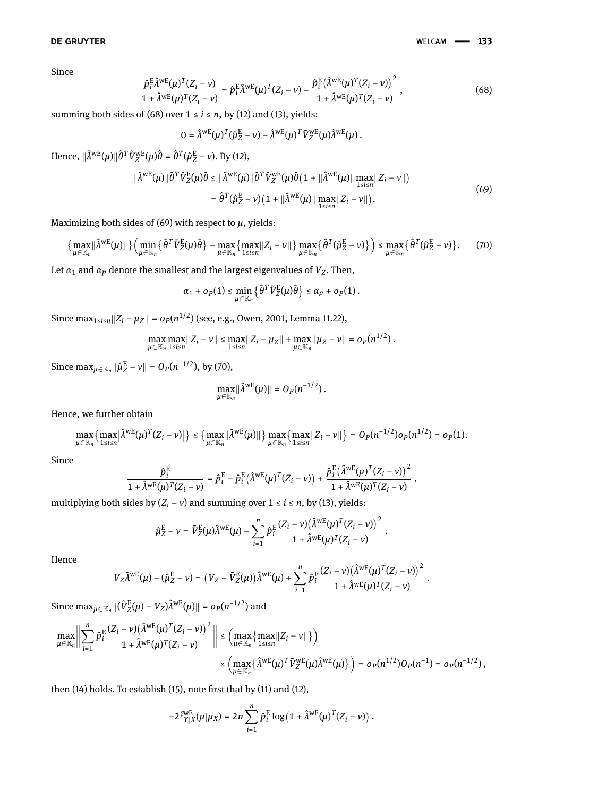<span id="page-20-0"></span>Since

$$
\frac{\hat{p}_i^{\text{E}} \hat{\lambda}^{\text{wE}}(\mu)^T (Z_i - \nu)}{1 + \hat{\lambda}^{\text{wE}}(\mu)^T (Z_i - \nu)} = \hat{p}_i^{\text{E}} \hat{\lambda}^{\text{wE}}(\mu)^T (Z_i - \nu) - \frac{\hat{p}_i^{\text{E}} (\hat{\lambda}^{\text{wE}}(\mu)^T (Z_i - \nu))^2}{1 + \hat{\lambda}^{\text{wE}}(\mu)^T (Z_i - \nu)},
$$
\n(68)

summing both sides of [\(68\)](#page-20-0) over  $1 \le i \le n$ , by [\(12\)](#page-4-3) and [\(13\)](#page-4-4), yields:

<span id="page-20-1"></span>
$$
0 = \hat{\lambda}^{\text{wE}}(\mu)^T(\hat{\mu}_Z^{\text{E}} - \nu) - \hat{\lambda}^{\text{wE}}(\mu)^T \tilde{V}_Z^{\text{wE}}(\mu) \hat{\lambda}^{\text{wE}}(\mu) .
$$

Hence,  $\|\hat{\lambda}^{\text{wE}}(\mu)\|\hat{\theta}^T \tilde{V}_Z^{\text{wE}}(\mu)\hat{\theta} = \hat{\theta}^T(\hat{\mu}_Z^{\text{E}} - \nu)$ . By [\(12\)](#page-4-3),

$$
\|\hat{\lambda}^{wE}(\mu)\|\hat{\theta}^{T}\tilde{V}_{Z}^{E}(\mu)\hat{\theta} \leq \|\hat{\lambda}^{wE}(\mu)\|\hat{\theta}^{T}\tilde{V}_{Z}^{wE}(\mu)\hat{\theta}(1 + \|\hat{\lambda}^{wE}(\mu)\| \max_{1 \leq i \leq n} |Z_{i} - \nu\|)
$$
  
= 
$$
\hat{\theta}^{T}(\hat{\mu}_{Z}^{E} - \nu)(1 + \|\hat{\lambda}^{wE}(\mu)\| \max_{1 \leq i \leq n} |Z_{i} - \nu\|).
$$
 (69)

Maximizing both sides of  $(69)$  with respect to  $\mu$ , yields:

$$
\left\{\max_{\mu\in\mathbb{K}_n} \left|\hat{\Lambda}^{\text{wE}}(\mu)\right|\right\} \left(\min_{\mu\in\mathbb{K}_n} \left\{\hat{\theta}^T \tilde{V}_Z^{\text{E}}(\mu)\hat{\theta}\right\} - \max_{\mu\in\mathbb{K}_n} \left\{\max_{1\leq i\leq n} \left|Z_i - \nu\right|\right\} \max_{\mu\in\mathbb{K}_n} \left\{\hat{\theta}^T (\hat{\mu}_Z^{\text{E}} - \nu)\right\}\right) \leq \max_{\mu\in\mathbb{K}_n} \left\{\hat{\theta}^T (\hat{\mu}_Z^{\text{E}} - \nu)\right\}. \tag{70}
$$

Let  $\alpha_1$  and  $\alpha_p$  denote the smallest and the largest eigenvalues of  $V_Z$ . Then,

$$
\alpha_1+o_P(1)\leq \min_{\mu\in\mathbb{K}_n}\big\{\hat{\theta}^T\tilde{V}^{\rm E}_Z(\mu)\hat{\theta}\big\}\leq \alpha_p+o_P(1)\,.
$$

Since max1≤*i*≤*n*‖*Z<sup>i</sup>* − *µZ*‖ = *oP*(*n* 1/2 ) (see, e.g., [Owen, 2001,](#page-17-15) Lemma 11.22),

$$
\max_{\mu \in \mathbb{K}_n} \max_{1 \le i \le n} \|Z_i - \nu\| \le \max_{1 \le i \le n} \|Z_i - \mu_Z\| + \max_{\mu \in \mathbb{K}_n} \|\mu_Z - \nu\| = o_P(n^{1/2}).
$$

Since  $\max_{\mu \in \mathbb{K}_n} \|\hat{\mu}_Z^{\text{E}} - \nu\| = O_P(n^{-1/2})$ , by [\(70\)](#page-20-2),

<span id="page-20-2"></span>
$$
\max_{\mu\in\mathbb{K}_n}\lVert \hat{\lambda}^{\mathrm{wE}}(\mu)\rVert=O_P(n^{-1/2})\,.
$$

Hence, we further obtain

$$
\max_{\mu \in \mathbb{K}_n} \left\{ \max_{1 \le i \le n} |\hat{\lambda}^{wE}(\mu)^T (Z_i - \nu)| \right\} \le \left\{ \max_{\mu \in \mathbb{K}_n} ||\hat{\lambda}^{wE}(\mu)|| \right\} \max_{\mu \in \mathbb{K}_n} \left\{ \max_{1 \le i \le n} ||Z_i - \nu|| \right\} = O_P(n^{-1/2}) o_P(n^{1/2}) = o_P(1).
$$

Since

$$
\frac{\hat{p}_i^{\rm E}}{1+\hat{\lambda}^{\rm wE}(\mu)^T(Z_i-\nu)}=\hat{p}_i^{\rm E}-\hat{p}_i^{\rm E}\big(\hat{\lambda}^{\rm wE}(\mu)^T(Z_i-\nu)\big)+\frac{\hat{p}_i^{\rm E}\big(\hat{\lambda}^{\rm wE}(\mu)^T(Z_i-\nu)\big)^2}{1+\hat{\lambda}^{\rm wE}(\mu)^T(Z_i-\nu)}\;,
$$

multiplying both sides by  $(Z_i - v)$  and summing over  $1 \le i \le n$ , by [\(13\)](#page-4-4), yields:

$$
\hat{\mu}^{\rm E}_Z - \nu = \tilde{V}^{\rm E}_Z(\mu) \hat{\lambda}^{\rm wE}(\mu) - \sum_{i=1}^n \hat{p}^{\rm E}_i \frac{(Z_i-\nu) \big( \hat{\lambda}^{\rm wE}(\mu)^T (Z_i-\nu) \big)^2}{1+\hat{\lambda}^{\rm wE}(\mu)^T (Z_i-\nu)} \,.
$$

Hence

$$
V_Z\hat{\lambda}^{\text{wE}}(\mu) - (\hat{\mu}_Z^{\text{E}} - \nu) = \left(V_Z - \tilde{V}_Z^{\text{E}}(\mu)\right)\hat{\lambda}^{\text{wE}}(\mu) + \sum_{i=1}^n \hat{p}_i^{\text{E}} \frac{(Z_i - \nu) \left(\hat{\lambda}^{\text{wE}}(\mu)^T (Z_i - \nu)\right)^2}{1 + \hat{\lambda}^{\text{wE}}(\mu)^T (Z_i - \nu)}.
$$

 $\mathrm{Since} \ \max_{\mu \in \mathbb{K}_n} \|(\tilde{V}^\mathrm{E}_Z(\mu) - V_Z)\hat{\lambda}^\mathrm{wE}(\mu)\| = o_P(n^{-1/2}) \text{ and}$ 

$$
\max_{\mu \in \mathbb{K}_n} \Biggl\|\sum_{i=1}^n \hat{p}^\text{E}_i \frac{(Z_i - \nu) \left(\hat{\lambda}^\text{wE}(\mu)^T (Z_i - \nu)\right)^2}{1 + \hat{\lambda}^\text{wE}(\mu)^T (Z_i - \nu)}\Biggr\| \leq \left(\max_{\mu \in \mathbb{K}_n} \left\{\max_{1 \leq i \leq n} \|Z_i - \nu\|\right\}\right) \\ \times \left(\max_{\mu \in \mathbb{K}_n} \left\{\hat{\lambda}^\text{wE}(\mu)^T \tilde{V}^\text{wE}_Z(\mu) \hat{\lambda}^\text{wE}(\mu)\right\}\right) = o_P(n^{1/2}) O_P(n^{-1}) = o_P(n^{-1/2}),
$$

then [\(14\)](#page-4-5) holds. To establish [\(15\)](#page-4-6), note first that by [\(11\)](#page-4-0) and [\(12\)](#page-4-3),

$$
-2\tilde{\ell}_{Y|X}^{WE}(\mu|\mu_X)=2n\sum_{i=1}^n\hat{p}_i^{\text{E}}\log\left(1+\hat{\lambda}^{\text{wE}}(\mu)^T(Z_i-\nu)\right).
$$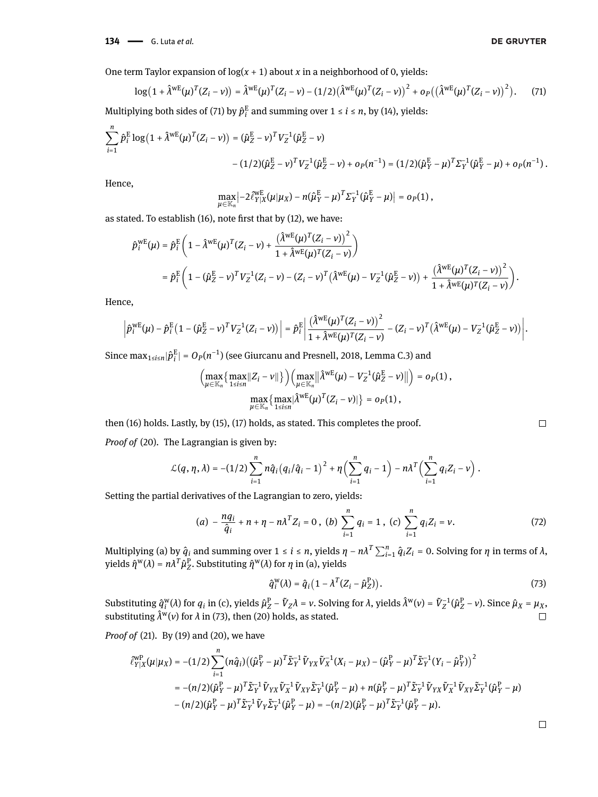**134 - G.** Luta *et al.* 

One term Taylor expansion of  $log(x + 1)$  about *x* in a neighborhood of 0, yields:

$$
\log(1 + \hat{\lambda}^{WE}(\mu)^{T}(Z_{i} - \nu)) = \hat{\lambda}^{WE}(\mu)^{T}(Z_{i} - \nu) - (1/2)(\hat{\lambda}^{WE}(\mu)^{T}(Z_{i} - \nu))^{2} + o_{P}((\hat{\lambda}^{WE}(\mu)^{T}(Z_{i} - \nu))^{2}).
$$
 (71)

Multiplying both sides of [\(71\)](#page-21-0) by  $\hat{p}^{\text{E}}_i$  $\frac{E}{i}$  and summing over  $1 \le i \le n$ , by [\(14\)](#page-4-5), yields:

$$
\sum_{i=1}^{n} \hat{p}_{i}^{\mathrm{E}} \log (1 + \hat{\lambda}^{\mathrm{wE}}(\mu)^{T} (Z_{i} - \nu)) = (\hat{\mu}_{Z}^{\mathrm{E}} - \nu)^{T} V_{Z}^{-1} (\hat{\mu}_{Z}^{\mathrm{E}} - \nu)
$$

$$
- (1/2)(\hat{\mu}_{Z}^{\mathrm{E}} - \nu)^{T} V_{Z}^{-1} (\hat{\mu}_{Z}^{\mathrm{E}} - \nu) + o_{P}(n^{-1}) = (1/2)(\hat{\mu}_{Y}^{\mathrm{E}} - \mu)^{T} \Sigma_{Y}^{-1} (\hat{\mu}_{Y}^{\mathrm{E}} - \mu) + o_{P}(n^{-1}).
$$

Hence,

<span id="page-21-0"></span>
$$
\max_{\mu \in \mathbb{K}_n} \left| -2 \frac{\partial \mathcal{W}_E}{\partial Y | X} (\mu | \mu_X) - n (\hat{\mu}_Y^E - \mu)^T \Sigma_Y^{-1} (\hat{\mu}_Y^E - \mu) \right| = o_P(1),
$$

as stated. To establish [\(16\)](#page-4-7), note first that by [\(12\)](#page-4-3), we have:

$$
\hat{p}_i^{wE}(\mu) = \hat{p}_i^E \left(1 - \hat{\lambda}^{wE}(\mu)^T (Z_i - \nu) + \frac{(\hat{\lambda}^{wE}(\mu)^T (Z_i - \nu))^2}{1 + \hat{\lambda}^{wE}(\mu)^T (Z_i - \nu)}\right)
$$
\n
$$
= \hat{p}_i^E \left(1 - (\hat{\mu}_Z^E - \nu)^T V_Z^{-1} (Z_i - \nu) - (Z_i - \nu)^T (\hat{\lambda}^{wE}(\mu) - V_Z^{-1} (\hat{\mu}_Z^E - \nu)) + \frac{(\hat{\lambda}^{wE}(\mu)^T (Z_i - \nu))^2}{1 + \hat{\lambda}^{wE}(\mu)^T (Z_i - \nu)}\right).
$$

Hence,

$$
\left|\hat{p}_i^{\text{WE}}(\mu) - \hat{p}_i^{\text{E}}(1-(\hat{\mu}_Z^{\text{E}}-\nu)^T V_Z^{-1}(Z_i-\nu))\right| = \hat{p}_i^{\text{E}}\left|\frac{(\hat{\lambda}^{\text{WE}}(\mu)^T(Z_i-\nu))^2}{1+\hat{\lambda}^{\text{WE}}(\mu)^T(Z_i-\nu)} - (Z_i-\nu)^T(\hat{\lambda}^{\text{WE}}(\mu) - V_Z^{-1}(\hat{\mu}_Z^{\text{E}}-\nu))\right|.
$$

Since max1≤*i*≤*n*|*p*^ E  $\mathbf{f}_{i}^{\text{E}}|$  =  $O_{P}(n^{-1})$  (see [Giurcanu and Presnell, 2018,](#page-17-28) Lemma C.3) and

$$
\left(\max_{\mu\in\mathbb{K}_n}\left\{\max_{1\leq i\leq n}\|Z_i-\nu\|\right\}\right)\left(\max_{\mu\in\mathbb{K}_n}\|\hat{\lambda}^{\text{WE}}(\mu)-V_Z^{-1}(\hat{\mu}_Z^{\text{E}}-\nu)\|\right)=o_P(1),
$$

$$
\max_{\mu\in\mathbb{K}_n}\left\{\max_{1\leq i\leq n}\{\hat{\lambda}^{\text{WE}}(\mu)^T(Z_i-\nu)\}\right\}=o_P(1),
$$

then [\(16\)](#page-4-7) holds. Lastly, by [\(15\)](#page-4-6), [\(17\)](#page-4-8) holds, as stated. This completes the proof.

*Proof of* [\(20\)](#page-5-2)*.* The Lagrangian is given by:

$$
\mathcal{L}(q,\eta,\lambda) = -(1/2)\sum_{i=1}^n n\hat{q}_i (q_i/\hat{q}_i - 1)^2 + \eta \Big(\sum_{i=1}^n q_i - 1\Big) - n\lambda^T \Big(\sum_{i=1}^n q_i Z_i - \nu\Big).
$$

Setting the partial derivatives of the Lagrangian to zero, yields:

$$
(a) - \frac{nq_i}{\hat{q}_i} + n + \eta - n\lambda^T Z_i = 0, \ (b) \sum_{i=1}^n q_i = 1, \ (c) \sum_{i=1}^n q_i Z_i = v. \tag{72}
$$

 $Multiplying (a) by  $\hat{q}_i$  and summing over 1 ≤ *i* ≤ *n*, yields  $η − nλ^T ∑_{i=1}^n \hat{q}_i Z_i = 0$ . Solving for  $η$  in terms of  $λ$ ,$ yields  $\hat{\eta}^w(\lambda) = n\lambda^T \hat{\mu}_Z^P$ . Substituting  $\hat{\eta}^w(\lambda)$  for *η* in (a), yields

<span id="page-21-1"></span>
$$
\hat{q}_i^{\mathsf{W}}(\lambda) = \hat{q}_i \left( 1 - \lambda^T (Z_i - \hat{\mu}_Z^{\mathsf{P}}) \right). \tag{73}
$$

 $\tilde{\mu}(\lambda)$  for  $q_i$  in (c), yields  $\hat{\mu}_Z^{\text{P}} - \tilde{V}_Z \lambda = \nu$ . Solving for  $\lambda$ , yields  $\hat{\lambda}^{\text{w}}(\nu) = \tilde{V}_Z^{-1}(\hat{\mu}_Z^{\text{P}} - \nu)$ . Since  $\hat{\mu}_X = \mu_X$ , Substituting *q*^ w substituting  $\hat{\lambda}^w(v)$  for  $\lambda$  in [\(73\)](#page-21-1), then [\(20\)](#page-5-2) holds, as stated.  $\Box$ 

*Proof of* [\(21\)](#page-5-4)*.* By [\(19\)](#page-5-1) and [\(20\)](#page-5-2), we have

$$
\begin{split} \hat{\ell}_{Y|X}^{\text{WP}}(\mu|\mu_{X}) &= -(1/2) \sum_{i=1}^{n} (n\hat{q}_{i}) \big( (\hat{\mu}_{Y}^{\text{P}} - \mu)^{T} \tilde{\Sigma}_{Y}^{-1} \tilde{V}_{YX} \tilde{V}_{X}^{-1} (X_{i} - \mu_{X}) - (\hat{\mu}_{Y}^{\text{P}} - \mu)^{T} \tilde{\Sigma}_{Y}^{-1} (Y_{i} - \hat{\mu}_{Y}^{\text{P}}) \big)^{2} \\ &= -(n/2) (\hat{\mu}_{Y}^{\text{P}} - \mu)^{T} \tilde{\Sigma}_{Y}^{-1} \tilde{V}_{YX} \tilde{V}_{X}^{-1} \tilde{V}_{XY} \tilde{\Sigma}_{Y}^{-1} (\hat{\mu}_{Y}^{\text{P}} - \mu) + n(\hat{\mu}_{Y}^{\text{P}} - \mu)^{T} \tilde{\Sigma}_{Y}^{-1} \tilde{V}_{YX} \tilde{V}_{X}^{-1} \tilde{V}_{XY} \tilde{\Sigma}_{Y}^{-1} (\hat{\mu}_{Y}^{\text{P}} - \mu) \\ &- (n/2) (\hat{\mu}_{Y}^{\text{P}} - \mu)^{T} \tilde{\Sigma}_{Y}^{-1} \tilde{V}_{Y} \tilde{\Sigma}_{Y}^{-1} (\hat{\mu}_{Y}^{\text{P}} - \mu) = -(n/2) (\hat{\mu}_{Y}^{\text{P}} - \mu)^{T} \tilde{\Sigma}_{Y}^{-1} (\hat{\mu}_{Y}^{\text{P}} - \mu). \end{split}
$$

 $\Box$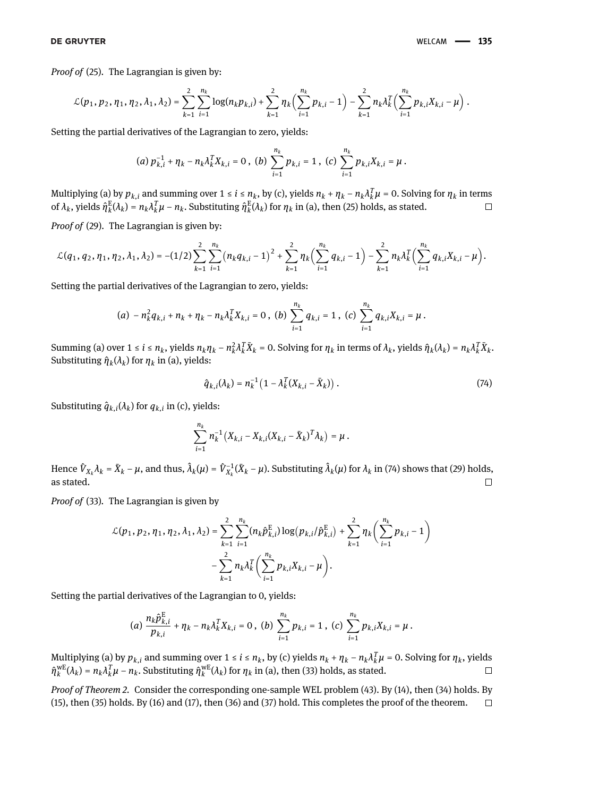*Proof of* [\(25\)](#page-6-6)*.* The Lagrangian is given by:

$$
\mathcal{L}(p_1, p_2, \eta_1, \eta_2, \lambda_1, \lambda_2) = \sum_{k=1}^2 \sum_{i=1}^{n_k} \log(n_k p_{k,i}) + \sum_{k=1}^2 \eta_k \Big( \sum_{i=1}^{n_k} p_{k,i} - 1 \Big) - \sum_{k=1}^2 n_k \lambda_k^T \Big( \sum_{i=1}^{n_k} p_{k,i} X_{k,i} - \mu \Big).
$$

Setting the partial derivatives of the Lagrangian to zero, yields:

(a) 
$$
p_{k,i}^{-1} + \eta_k - n_k \lambda_k^T X_{k,i} = 0
$$
, (b)  $\sum_{i=1}^{n_k} p_{k,i} = 1$ , (c)  $\sum_{i=1}^{n_k} p_{k,i} X_{k,i} = \mu$ .

Multiplying (a) by  $p_{k,i}$  and summing over  $1 \le i \le n_k$ , by (c), yields  $n_k + n_k - n_k \lambda_k^T \mu = 0$ . Solving for  $n_k$  in terms of  $\lambda_k$ , yields  $\hat{\eta}_k^{\rm E}$  $\frac{E}{k}(\lambda_k) = n_k \lambda_k^T \mu - n_k$ . Substituting  $\hat{\eta}_k^E$  $\frac{E}{k}(\lambda_k)$  for  $\eta_k$  in (a), then [\(25\)](#page-6-6) holds, as stated.  $\Box$ 

*Proof of* [\(29\)](#page-6-3)*.* The Lagrangian is given by:

$$
\mathcal{L}(q_1, q_2, \eta_1, \eta_2, \lambda_1, \lambda_2) = -(1/2) \sum_{k=1}^2 \sum_{i=1}^{n_k} (n_k q_{k,i} - 1)^2 + \sum_{k=1}^2 \eta_k \Bigl( \sum_{i=1}^{n_k} q_{k,i} - 1 \Bigr) - \sum_{k=1}^2 n_k \lambda_k^T \Bigl( \sum_{i=1}^{n_k} q_{k,i} X_{k,i} - \mu \Bigr).
$$

Setting the partial derivatives of the Lagrangian to zero, yields:

(a) 
$$
-n_k^2 q_{k,i} + n_k + \eta_k - n_k \lambda_k^T X_{k,i} = 0
$$
, (b)  $\sum_{i=1}^{n_k} q_{k,i} = 1$ , (c)  $\sum_{i=1}^{n_k} q_{k,i} X_{k,i} = \mu$ .

Summing (a) over  $1 \le i \le n_k$ , yields  $n_k \eta_k - n_k^2$  ${}^2_k \lambda^T_k \bar{X}_k = 0$ . Solving for  $\eta_k$  in terms of  $\lambda_k$ , yields  $\hat{\eta}_k(\lambda_k) = n_k \lambda^T_k \bar{X}_k$ . Substituting  $\hat{\eta}_k(\lambda_k)$  for  $\eta_k$  in (a), yields:

<span id="page-22-0"></span>
$$
\hat{q}_{k,i}(\lambda_k) = n_k^{-1} \left( 1 - \lambda_k^T (X_{k,i} - \bar{X}_k) \right). \tag{74}
$$

Substituting  $\hat{q}_{k,i}(\lambda_k)$  for  $q_{k,i}$  in (c), yields:

$$
\sum_{i=1}^{n_k} n_k^{-1} (X_{k,i} - X_{k,i} (X_{k,i} - \bar{X}_k)^T \lambda_k) = \mu.
$$

Hence  $\hat{V}_{X_k}\lambda_k = \bar{X}_k - \mu$ , and thus,  $\hat{\lambda}_k(\mu) = \hat{V}_{X_k}^{-1}(\bar{X}_k - \mu)$ . Substituting  $\hat{\lambda}_k(\mu)$  for  $\lambda_k$  in [\(74\)](#page-22-0) shows that [\(29\)](#page-6-3) holds, as stated.  $\Box$ 

*Proof of* [\(33\)](#page-7-5)*.* The Lagrangian is given by

$$
\mathcal{L}(p_1, p_2, \eta_1, \eta_2, \lambda_1, \lambda_2) = \sum_{k=1}^2 \sum_{i=1}^{n_k} (n_k \hat{p}_{k,i}^{\text{E}}) \log (p_{k,i}/\hat{p}_{k,i}^{\text{E}}) + \sum_{k=1}^2 \eta_k \left( \sum_{i=1}^{n_k} p_{k,i} - 1 \right) - \sum_{k=1}^2 n_k \lambda_k^T \left( \sum_{i=1}^{n_k} p_{k,i} X_{k,i} - \mu \right).
$$

Setting the partial derivatives of the Lagrangian to 0, yields:

(a) 
$$
\frac{n_k \hat{p}_{k,i}^E}{p_{k,i}} + \eta_k - n_k \lambda_k^T X_{k,i} = 0
$$
, (b) 
$$
\sum_{i=1}^{n_k} p_{k,i} = 1
$$
, (c) 
$$
\sum_{i=1}^{n_k} p_{k,i} X_{k,i} = \mu
$$
.

Multiplying (a) by  $p_{k,i}$  and summing over  $1 \le i \le n_k$ , by (c) yields  $n_k + \eta_k - n_k \lambda_k^T \mu = 0$ . Solving for  $\eta_k$ , yields  $\hat{\eta}_k^{\text{wE}}$ <sup>WE</sup>( $λ_k$ ) =  $n_k λ_k^T μ - n_k$ . Substituting  $\hat{\eta}_k^{\text{wE}}$  $k^{\text{WE}}_k(\lambda_k)$  for  $η_k$  in (a), then [\(33\)](#page-7-5) holds, as stated.  $\Box$ 

*Proof of Theorem [2.](#page-7-1)* Consider the corresponding one-sample WEL problem [\(43\)](#page-8-2). By [\(14\)](#page-4-5), then [\(34\)](#page-7-6) holds. By [\(15\)](#page-4-6), then [\(35\)](#page-7-7) holds. By [\(16\)](#page-4-7) and [\(17\)](#page-4-8), then [\(36\)](#page-7-8) and [\(37\)](#page-7-9) hold. This completes the proof of the theorem. $\Box$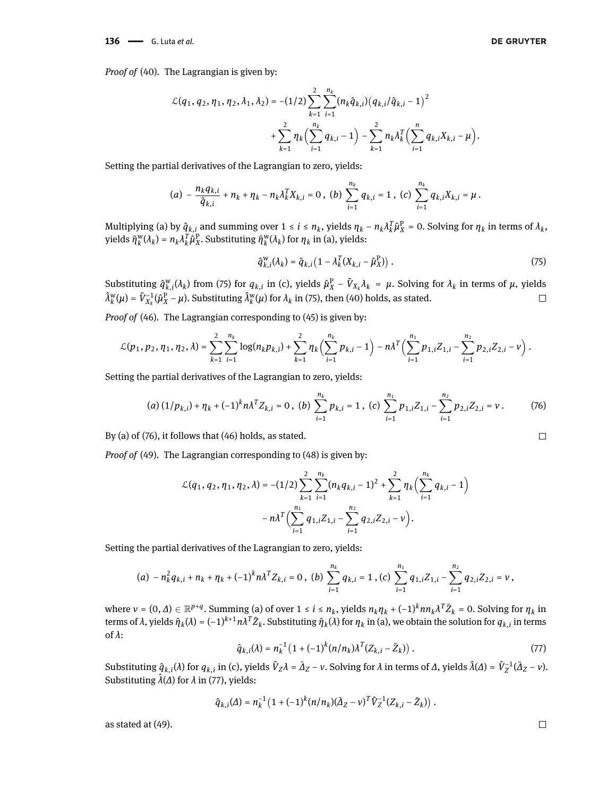$$
\mathcal{L}(q_1, q_2, \eta_1, \eta_2, \lambda_1, \lambda_2) = -(1/2) \sum_{k=1}^2 \sum_{i=1}^{n_k} (n_k \hat{q}_{k,i}) (q_{k,i}/\hat{q}_{k,i} - 1)^2
$$
  
+ 
$$
\sum_{k=1}^2 \eta_k \Biggl( \sum_{i=1}^{n_k} q_{k,i} - 1 \Biggr) - \sum_{k=1}^2 n_k \lambda_k^T \Biggl( \sum_{i=1}^n q_{k,i} X_{k,i} - \mu \Biggr).
$$

Setting the partial derivatives of the Lagrangian to zero, yields:

$$
(a) - \frac{n_k q_{k,i}}{\hat{q}_{k,i}} + n_k + \eta_k - n_k \lambda_k^T X_{k,i} = 0, \ (b) \sum_{i=1}^{n_k} q_{k,i} = 1, \ (c) \sum_{i=1}^{n_k} q_{k,i} X_{k,i} = \mu.
$$

Multiplying (a) by  $\hat{q}_{k,i}$  and summing over  $1 \le i \le n_k$ , yields  $\eta_k - n_k \lambda_k^T \hat{\mu}_X^P = 0$ . Solving for  $\eta_k$  in terms of  $\lambda_k$ , yields *η*^ w  $\hat{u}_k^W(\lambda_k) = n_k \lambda_k^T \hat{\mu}_X^P$ . Substituting  $\hat{\eta}_k^W$ *k* (*λk* ) for *η<sup>k</sup>* in (a), yields:

<span id="page-23-1"></span><span id="page-23-0"></span>
$$
\hat{q}_{k,i}^{\mathbf{w}}(\lambda_k) = \hat{q}_{k,i} \left( 1 - \lambda_k^T (X_{k,i} - \hat{\mu}_X^{\mathbf{P}}) \right). \tag{75}
$$

Substituting  $\hat{q}_{k,i}^{\text{w}}(\lambda_k)$  from [\(75\)](#page-23-1) for  $q_{k,i}$  in (c), yields  $\hat{\mu}_X^{\text{p}} - \tilde{V}_{X_k}\lambda_k = \mu$ . Solving for  $\lambda_k$  in terms of  $\mu$ , yields ^*λ* w  $\widetilde{V}_k^{\text{w}}(\mu) = \widetilde{V}_{X_k}^{-1}(\widehat{\mu}_X^{\text{p}} - \mu)$ . Substituting  $\widehat{\lambda}_k^{\text{w}}$  $\chi^{\text{w}}_k(\mu)$  for  $\lambda_k$  in [\(75\)](#page-23-1), then [\(40\)](#page-8-3) holds, as stated.  $\Box$ 

*Proof of* [\(46\)](#page-9-6)*.* The Lagrangian corresponding to [\(45\)](#page-9-0) is given by:

$$
\mathcal{L}(p_1, p_2, \eta_1, \eta_2, \lambda) = \sum_{k=1}^2 \sum_{i=1}^{n_k} \log(n_k p_{k,i}) + \sum_{k=1}^2 \eta_k \Bigl( \sum_{i=1}^{n_k} p_{k,i} - 1 \Bigr) - n \lambda^T \Bigl( \sum_{i=1}^{n_1} p_{1,i} Z_{1,i} - \sum_{i=1}^{n_2} p_{2,i} Z_{2,i} - \nu \Bigr) .
$$

Setting the partial derivatives of the Lagrangian to zero, yields:

$$
(a) (1/p_{k,i}) + \eta_k + (-1)^k n \lambda^T Z_{k,i} = 0, \ (b) \sum_{i=1}^{n_k} p_{k,i} = 1, \ (c) \sum_{i=1}^{n_1} p_{1,i} Z_{1,i} - \sum_{i=1}^{n_2} p_{2,i} Z_{2,i} = v. \tag{76}
$$

By (a) of [\(76\)](#page-23-0), it follows that [\(46\)](#page-9-6) holds, as stated.

*Proof of* [\(49\)](#page-9-3)*.* The Lagrangian corresponding to [\(48\)](#page-9-2) is given by:

$$
\mathcal{L}(q_1, q_2, \eta_1, \eta_2, \lambda) = -(1/2) \sum_{k=1}^2 \sum_{i=1}^{n_k} (n_k q_{k,i} - 1)^2 + \sum_{k=1}^2 \eta_k \Biggl( \sum_{i=1}^{n_k} q_{k,i} - 1 \Biggr) - n\lambda^T \Biggl( \sum_{i=1}^{n_1} q_{1,i} Z_{1,i} - \sum_{i=1}^{n_2} q_{2,i} Z_{2,i} - \nu \Biggr).
$$

Setting the partial derivatives of the Lagrangian to zero, yields:

$$
(a) - n_k^2 q_{k,i} + n_k + \eta_k + (-1)^k n \lambda^T Z_{k,i} = 0, \ (b) \sum_{i=1}^{n_k} q_{k,i} = 1, (c) \sum_{i=1}^{n_1} q_{1,i} Z_{1,i} - \sum_{i=1}^{n_2} q_{2,i} Z_{2,i} = v,
$$

<span id="page-23-2"></span>where  $v = (0, \Delta) \in \mathbb{R}^{p+q}$ . Summing (a) of over  $1 \le i \le n_k$ , yields  $n_k \eta_k + (-1)^k n n_k \lambda^T \bar{Z}_k = 0$ . Solving for  $\eta_k$  in terms of  $\lambda$ , yields  $\hat{\eta}_k(\lambda) = (-1)^{k+1} n \lambda^T \bar{Z}_k$ . Substituting  $\hat{\eta}_k(\lambda)$  for  $\eta_k$  in (a), we obtain the solution for  $q_{k,i}$  in terms of *λ*:

$$
\hat{q}_{k,i}(\lambda) = n_k^{-1} \left( 1 + (-1)^k (n/n_k) \lambda^T (Z_{k,i} - \bar{Z}_k) \right). \tag{77}
$$

Substituting  $\hat{q}_{k,i}(\lambda)$  for  $q_{k,i}$  in (c), yields  $\hat{V}_Z \lambda = \bar{\Delta}_Z - \nu$ . Solving for  $\lambda$  in terms of  $\Delta$ , yields  $\hat{\lambda}(\Delta) = \hat{V}_Z^{-1}(\bar{\Delta}_Z - \nu)$ . Substituting  $\hat{\lambda}(\Delta)$  for  $\lambda$  in [\(77\)](#page-23-2), yields:

$$
\hat{q}_{k,i}(\varDelta)=n_k^{-1}\left(1+(-1)^k(n/n_k)(\bar{\varDelta}_Z-v)^T\hat{V}_Z^{-1}(Z_{k,i}-\bar{Z}_k)\right)\,.
$$

as stated at [\(49\)](#page-9-3).

 $\Box$ 

$$
\Box
$$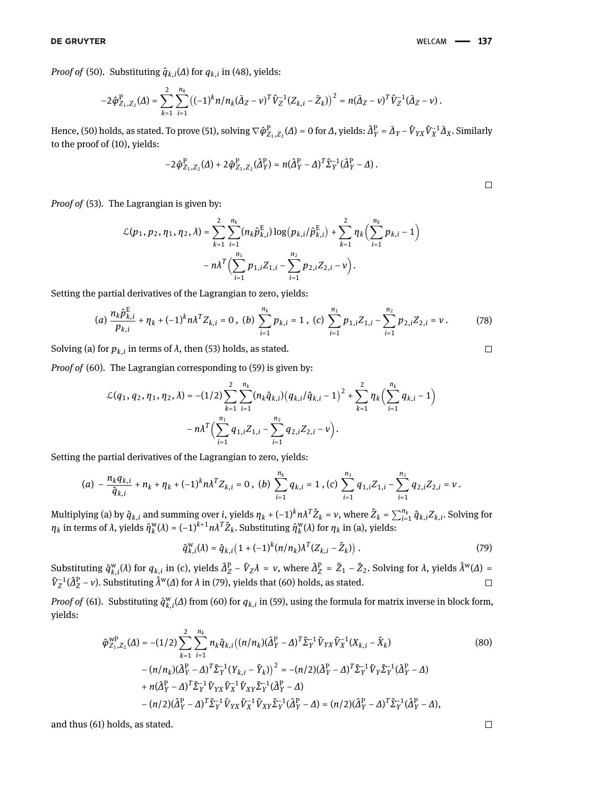*Proof of* [\(50\)](#page-9-4). Substituting  $\hat{q}_{k,i}(\Delta)$  for  $q_{k,i}$  in [\(48\)](#page-9-2), yields:

$$
-2\hat{\varphi}_{Z_1,Z_2}^{\rm P}(\varDelta)=\sum_{k=1}^2\sum_{i=1}^{n_k}\left((-1)^k n/n_k(\bar{\varDelta}_Z-\nu)^T\hat{V}_Z^{-1}(Z_{k,i}-\bar{Z}_k)\right)^2=n(\bar{\varDelta}_Z-\nu)^T\hat{V}_Z^{-1}(\bar{\varDelta}_Z-\nu)\,.
$$

Hence, [\(50\)](#page-9-4) holds, as stated. To prove [\(51\)](#page-9-5), solving  $\nabla\hat{\phi}^{\rm P}_{Z_1,Z_2}(\varDelta)$  = 0 for  $\varDelta$ , yields:  $\hat{\varDelta}^{\rm P}_Y=\bar{\varDelta}_Y-\hat{V}_{YX}\hat{V}^{-1}_X\bar{\varDelta}_X$ . Similarly to the proof of [\(10\)](#page-4-2), yields:

$$
-2\hat{\varphi}^{\mathrm{P}}_{Z_1,Z_2}(\Delta) + 2\hat{\varphi}^{\mathrm{P}}_{Z_1,Z_2}(\hat{\Delta}_{Y}^{\mathrm{P}}) = n(\hat{\Delta}_{Y}^{\mathrm{P}} - \Delta)^{T} \hat{\Sigma}_{Y}^{-1}(\hat{\Delta}_{Y}^{\mathrm{P}} - \Delta).
$$

*Proof of* [\(53\)](#page-10-4)*.* The Lagrangian is given by:

$$
\mathcal{L}(p_1, p_2, \eta_1, \eta_2, \lambda) = \sum_{k=1}^2 \sum_{i=1}^{n_k} (n_k \hat{p}_{k,i}^{\text{E}}) \log (p_{k,i}/\hat{p}_{k,i}^{\text{E}}) + \sum_{k=1}^2 \eta_k \Big( \sum_{i=1}^{n_k} p_{k,i} - 1 \Big) - n\lambda^T \Big( \sum_{i=1}^{n_1} p_{1,i} Z_{1,i} - \sum_{i=1}^{n_2} p_{2,i} Z_{2,i} - \nu \Big).
$$

Setting the partial derivatives of the Lagrangian to zero, yields:

$$
(a) \frac{n_k \hat{p}_{k,i}^{\mathrm{E}}}{p_{k,i}} + \eta_k + (-1)^k n \lambda^T Z_{k,i} = 0, \ (b) \sum_{i=1}^{n_k} p_{k,i} = 1, \ (c) \sum_{i=1}^{n_1} p_{1,i} Z_{1,i} - \sum_{i=1}^{n_2} p_{2,i} Z_{2,i} = v. \tag{78}
$$

Solving (a) for  $p_{k,i}$  in terms of  $\lambda$ , then [\(53\)](#page-10-4) holds, as stated.

*Proof of* [\(60\)](#page-10-5). The Lagrangian corresponding to [\(59\)](#page-10-3) is given by:

$$
\mathcal{L}(q_1, q_2, \eta_1, \eta_2, \lambda) = -(1/2) \sum_{k=1}^2 \sum_{i=1}^{n_k} (n_k \hat{q}_{k,i}) (q_{k,i}/\hat{q}_{k,i} - 1)^2 + \sum_{k=1}^2 \eta_k \Biggl( \sum_{i=1}^{n_k} q_{k,i} - 1 \Biggr) - n \lambda^T \Biggl( \sum_{i=1}^{n_1} q_{1,i} Z_{1,i} - \sum_{i=1}^{n_2} q_{2,i} Z_{2,i} - \nu \Biggr).
$$

Setting the partial derivatives of the Lagrangian to zero, yields:

$$
(a) - \frac{n_k q_{k,i}}{\hat{q}_{k,i}} + n_k + \eta_k + (-1)^k n \lambda^T Z_{k,i} = 0, \ (b) \sum_{i=1}^{n_k} q_{k,i} = 1, (c) \sum_{i=1}^{n_1} q_{1,i} Z_{1,i} - \sum_{i=1}^{n_2} q_{2,i} Z_{2,i} = v.
$$

Multiplying (a) by  $\hat{q}_{k,i}$  and summing over  $i$ , yields  $\eta_k+(-1)^k n \lambda^T \tilde{Z}_k = \nu$ , where  $\tilde{Z}_k = \sum_{i=1}^{n_k} \hat{q}_{k,i} Z_{k,i}$ . Solving for *ηk* in terms of *λ*, yields *η*^ w  $k(\lambda) = (-1)^{k+1} n \lambda^T \tilde{Z}_k$ . Substituting  $\hat{\eta}_k^w$ *k* (*λ*) for *η<sup>k</sup>* in (a), yields:

$$
\hat{q}_{k,i}^{\text{w}}(\lambda) = \hat{q}_{k,i} \left( 1 + (-1)^k (n/n_k) \lambda^T (Z_{k,i} - \tilde{Z}_k) \right). \tag{79}
$$

Substituting  $\hat{q}_{k,i}^{\text{w}}(\lambda)$  for  $q_{k,i}$  in (c), yields  $\hat{A}_Z^{\text{P}} - \tilde{V}_Z \lambda = \nu$ , where  $\hat{A}_Z^{\text{P}} = \tilde{Z}_1 - \tilde{Z}_2$ . Solving for  $\lambda$ , yields  $\hat{\lambda}^{\text{w}}(\Delta) =$  $\tilde{V}_Z^{-1}(\hat{\Delta}_Z^P - v)$ . Substituting  $\hat{\lambda}^w(\Delta)$  for  $\lambda$  in [\(79\)](#page-24-1), yields that [\(60\)](#page-10-5) holds, as stated.  $\Box$ 

*Proof of* [\(61\)](#page-10-6). Substituting  $\hat{q}^w_{k,i}(\Delta)$  from [\(60\)](#page-10-5) for  $q_{k,i}$  in [\(59\)](#page-10-3), using the formula for matrix inverse in block form, yields:

$$
\hat{\varphi}_{Z_1, Z_2}^{\text{WP}}(\Delta) = -(1/2) \sum_{k=1}^{2} \sum_{i=1}^{n_k} n_k \hat{q}_{k, i} \left( (n/n_k)(\hat{\Delta}_Y^{\text{P}} - \Delta)^T \tilde{\Sigma}_Y^{-1} \tilde{V}_{YX} \tilde{V}_X^{-1} (X_{k, i} - \tilde{X}_k) \right)
$$
\n
$$
-(n/n_k)(\hat{\Delta}_Y^{\text{P}} - \Delta)^T \tilde{\Sigma}_Y^{-1} (Y_{k, i} - \tilde{Y}_k))^2 = -(n/2)(\hat{\Delta}_Y^{\text{P}} - \Delta)^T \tilde{\Sigma}_Y^{-1} \tilde{V}_Y \tilde{\Sigma}_Y^{-1} (\hat{\Delta}_Y^{\text{P}} - \Delta)
$$
\n
$$
+ n(\hat{\Delta}_Y^{\text{P}} - \Delta)^T \tilde{\Sigma}_Y^{-1} \tilde{V}_{YX} \tilde{V}_X^{-1} \tilde{V}_{XY} \tilde{\Sigma}_Y^{-1} (\hat{\Delta}_Y^{\text{P}} - \Delta)
$$
\n
$$
-(n/2)(\hat{\Delta}_Y^{\text{P}} - \Delta)^T \tilde{\Sigma}_Y^{-1} \tilde{V}_{YX} \tilde{V}_X^{-1} \tilde{V}_{XY} \tilde{\Sigma}_Y^{-1} (\hat{\Delta}_Y^{\text{P}} - \Delta) = (n/2)(\hat{\Delta}_Y^{\text{P}} - \Delta)^T \tilde{\Sigma}_Y^{-1} (\hat{\Delta}_Y^{\text{P}} - \Delta),
$$
\n(80)

and thus [\(61\)](#page-10-6) holds, as stated.

<span id="page-24-1"></span><span id="page-24-0"></span>
$$
\Box
$$

 $\Box$ 

 $\Box$